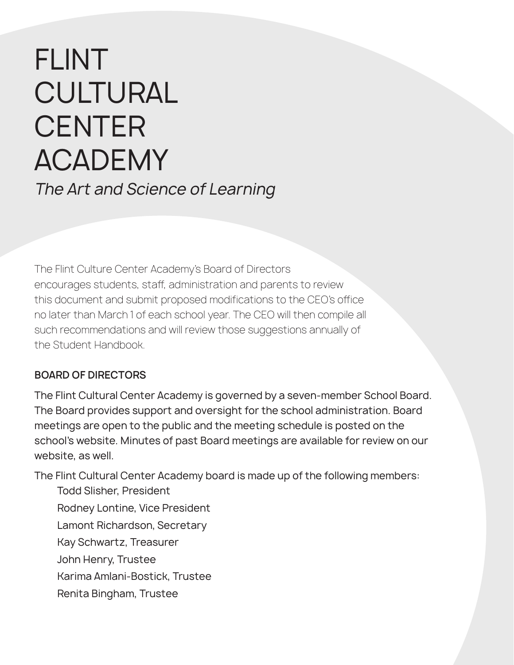# FLINT CULTURAL **CENTER** ACADEMY The Art and Science of Learning

The Flint Culture Center Academy's Board of Directors encourages students, staff, administration and parents to review this document and submit proposed modifications to the CEO's office no later than March 1 of each school year. The CEO will then compile all such recommendations and will review those suggestions annually of the Student Handbook.

### **BOARD OF DIRECTORS**

The Flint Cultural Center Academy is governed by a seven-member School Board. The Board provides support and oversight for the school administration. Board meetings are open to the public and the meeting schedule is posted on the school's website. Minutes of past Board meetings are available for review on our website, as well.

The Flint Cultural Center Academy board is made up of the following members:

Todd Slisher, President Rodney Lontine, Vice President Lamont Richardson, Secretary Kay Schwartz, Treasurer John Henry, Trustee Karima Amlani-Bostick, Trustee Renita Bingham, Trustee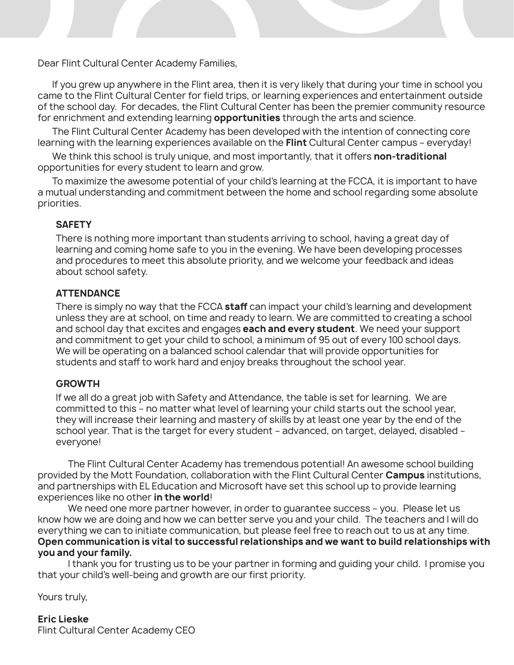Dear Flint Cultural Center Academy Families,

If you grew up anywhere in the Flint area, then it is very likely that during your time in school you came to the Flint Cultural Center for field trips, or learning experiences and entertainment outside of the school day. For decades, the Flint Cultural Center has been the premier community resource for enrichment and extending learning **opportunities** through the arts and science.

The Flint Cultural Center Academy has been developed with the intention of connecting core learning with the learning experiences available on the **Flint** Cultural Center campus – everyday!

We think this school is truly unique, and most importantly, that it offers **non-traditional**  opportunities for every student to learn and grow.

To maximize the awesome potential of your child's learning at the FCCA, it is important to have a mutual understanding and commitment between the home and school regarding some absolute priorities.

### **SAFETY**

There is nothing more important than students arriving to school, having a great day of learning and coming home safe to you in the evening. We have been developing processes and procedures to meet this absolute priority, and we welcome your feedback and ideas about school safety.

### **ATTENDANCE**

There is simply no way that the FCCA **staff** can impact your child's learning and development unless they are at school, on time and ready to learn. We are committed to creating a school and school day that excites and engages **each and every student**. We need your support and commitment to get your child to school, a minimum of 95 out of every 100 school days. We will be operating on a balanced school calendar that will provide opportunities for students and staff to work hard and enjoy breaks throughout the school year.

### **GROWTH**

If we all do a great job with Safety and Attendance, the table is set for learning. We are committed to this – no matter what level of learning your child starts out the school year, they will increase their learning and mastery of skills by at least one year by the end of the school year. That is the target for every student – advanced, on target, delayed, disabled – everyone!

The Flint Cultural Center Academy has tremendous potential! An awesome school building provided by the Mott Foundation, collaboration with the Flint Cultural Center **Campus** institutions, and partnerships with EL Education and Microsoft have set this school up to provide learning experiences like no other **in the world**!

We need one more partner however, in order to quarantee success - you. Please let us know how we are doing and how we can better serve you and your child. The teachers and I will do everything we can to initiate communication, but please feel free to reach out to us at any time. **Open communication is vital to successful relationships and we want to build relationships with you and your family.**

I thank you for trusting us to be your partner in forming and guiding your child. I promise you that your child's well-being and growth are our first priority.

Yours truly,

**Eric Lieske** Flint Cultural Center Academy CEO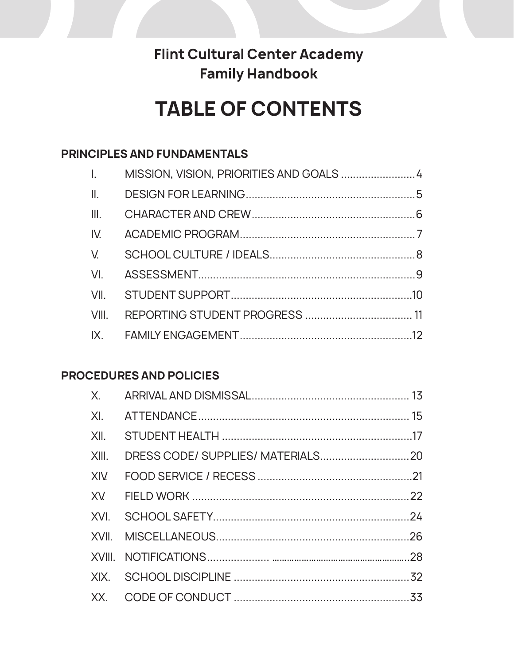### **Flint Cultural Center Academy Family Handbook**

## **TABLE OF CONTENTS**

### **PRINCIPLES AND FUNDAMENTALS**

| $\mathbf{I}_{\mathbf{r}}$ |  |
|---------------------------|--|
|                           |  |
|                           |  |
|                           |  |
|                           |  |
|                           |  |
|                           |  |
|                           |  |
|                           |  |

### **PROCEDURES AND POLICIES**

| XII. |  |
|------|--|
|      |  |
|      |  |
|      |  |
|      |  |
|      |  |
|      |  |
|      |  |
|      |  |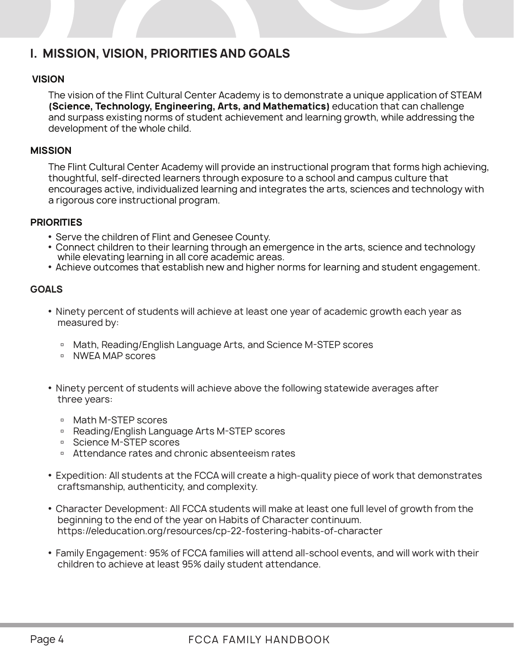### **I. MISSION, VISION, PRIORITIES AND GOALS**

### **VISION**

The vision of the Flint Cultural Center Academy is to demonstrate a unique application of STEAM **(Science, Technology, Engineering, Arts, and Mathematics)** education that can challenge and surpass existing norms of student achievement and learning growth, while addressing the development of the whole child.

### **MISSION**

The Flint Cultural Center Academy will provide an instructional program that forms high achieving, thoughtful, self-directed learners through exposure to a school and campus culture that encourages active, individualized learning and integrates the arts, sciences and technology with a rigorous core instructional program.

### **PRIORITIES**

- Serve the children of Flint and Genesee County.
- Connect children to their learning through an emergence in the arts, science and technology while elevating learning in all core academic areas.
- Achieve outcomes that establish new and higher norms for learning and student engagement.

### **GOALS**

- Ninety percent of students will achieve at least one year of academic growth each year as measured by:
	- □ Math, Reading/English Language Arts, and Science M-STEP scores
	- □ NWEA MAP scores
- Ninety percent of students will achieve above the following statewide averages after three years:
	- □ Math M-STEP scores
	- □ Reading/English Language Arts M-STEP scores
	- □ Science M-STEP scores
	- □ Attendance rates and chronic absenteeism rates
- Expedition: All students at the FCCA will create a high-quality piece of work that demonstrates craftsmanship, authenticity, and complexity.
- Character Development: All FCCA students will make at least one full level of growth from the beginning to the end of the year on Habits of Character continuum. https://eleducation.org/resources/cp-22-fostering-habits-of-character
- Family Engagement: 95% of FCCA families will attend all-school events, and will work with their children to achieve at least 95% daily student attendance.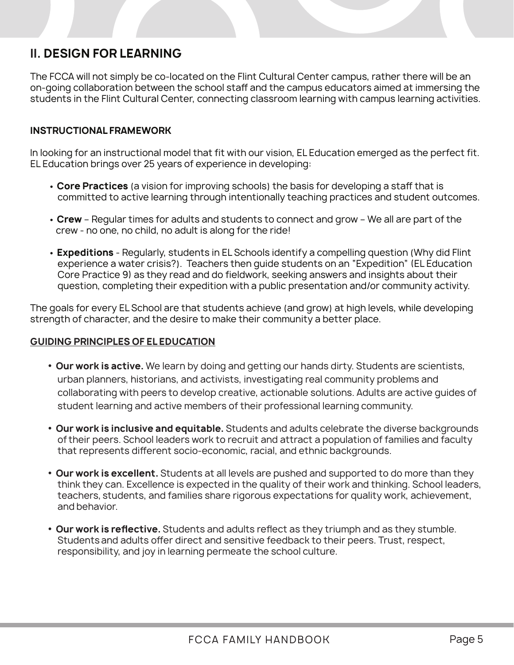### **II. DESIGN FOR LEARNING**

The FCCA will not simply be co-located on the Flint Cultural Center campus, rather there will be an on-going collaboration between the school staff and the campus educators aimed at immersing the students in the Flint Cultural Center, connecting classroom learning with campus learning activities.

### **INSTRUCTIONAL FRAMEWORK**

In looking for an instructional model that fit with our vision, EL Education emerged as the perfect fit. EL Education brings over 25 years of experience in developing:

- **Core Practices** (a vision for improving schools) the basis for developing a staff that is committed to active learning through intentionally teaching practices and student outcomes.
- **Crew** Regular times for adults and students to connect and grow We all are part of the crew - no one, no child, no adult is along for the ride!
- **Expeditions** Regularly, students in EL Schools identify a compelling question (Why did Flint experience a water crisis?). Teachers then guide students on an "Expedition" (EL Education Core Practice 9) as they read and do fieldwork, seeking answers and insights about their question, completing their expedition with a public presentation and/or community activity.

The goals for every EL School are that students achieve (and grow) at high levels, while developing strength of character, and the desire to make their community a better place.

### **GUIDING PRINCIPLES OF EL EDUCATION**

- **Our work is active.** We learn by doing and getting our hands dirty. Students are scientists, urban planners, historians, and activists, investigating real community problems and collaborating with peers to develop creative, actionable solutions. Adults are active guides of student learning and active members of their professional learning community.
- **Our work is inclusive and equitable.** Students and adults celebrate the diverse backgrounds of their peers. School leaders work to recruit and attract a population of families and faculty that represents different socio-economic, racial, and ethnic backgrounds.
- **Our work is excellent.** Students at all levels are pushed and supported to do more than they think they can. Excellence is expected in the quality of their work and thinking. School leaders, teachers, students, and families share rigorous expectations for quality work, achievement, and behavior.
- **Our work is reflective.** Students and adults reflect as they triumph and as they stumble. Students and adults offer direct and sensitive feedback to their peers. Trust, respect, responsibility, and joy in learning permeate the school culture.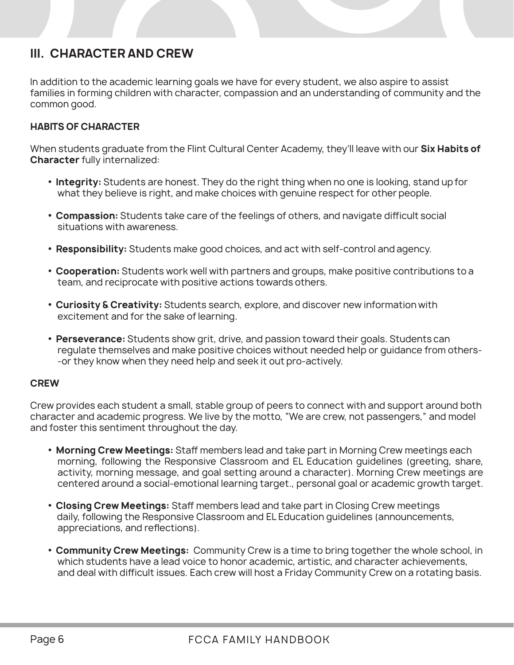### **III. CHARACTER AND CREW**

In addition to the academic learning goals we have for every student, we also aspire to assist families in forming children with character, compassion and an understanding of community and the common good.

### **HABITS OF CHARACTER**

When students graduate from the Flint Cultural Center Academy, they'll leave with our **Six Habits of Character** fully internalized:

- **Integrity:** Students are honest. They do the right thing when no one is looking, stand up for what they believe is right, and make choices with genuine respect for other people.
- **Compassion:** Students take care of the feelings of others, and navigate difficult social situations with awareness.
- **Responsibility:** Students make good choices, and act with self-control and agency.
- **Cooperation:** Students work well with partners and groups, make positive contributions to a team, and reciprocate with positive actions towards others.
- **Curiosity & Creativity:** Students search, explore, and discover new information with excitement and for the sake of learning.
- **Perseverance:** Students show grit, drive, and passion toward their goals. Students can regulate themselves and make positive choices without needed help or guidance from others- -or they know when they need help and seek it out pro-actively.

### **CREW**

Crew provides each student a small, stable group of peers to connect with and support around both character and academic progress. We live by the motto, "We are crew, not passengers," and model and foster this sentiment throughout the day.

- **Morning Crew Meetings:** Staff members lead and take part in Morning Crew meetings each morning, following the Responsive Classroom and EL Education guidelines (greeting, share, activity, morning message, and goal setting around a character). Morning Crew meetings are centered around a social-emotional learning target., personal goal or academic growth target.
- **Closing Crew Meetings:** Staff members lead and take part in Closing Crew meetings daily, following the Responsive Classroom and EL Education guidelines (announcements, appreciations, and reflections).
- **Community Crew Meetings:** Community Crew is a time to bring together the whole school, in which students have a lead voice to honor academic, artistic, and character achievements, and deal with difficult issues. Each crew will host a Friday Community Crew on a rotating basis.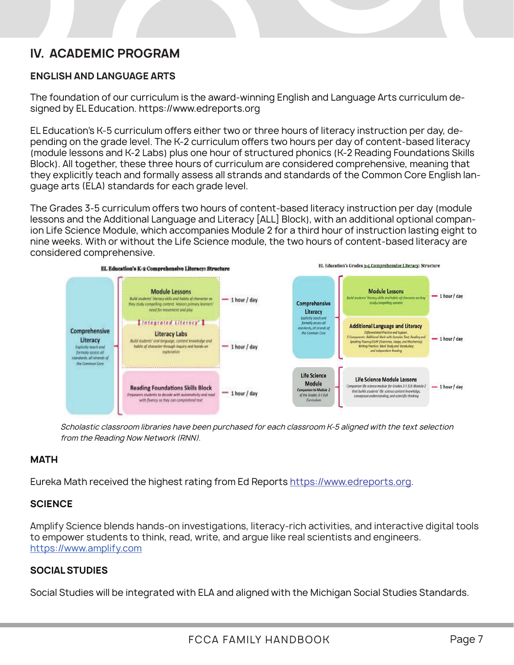### **IV. ACADEMC PROGRAM IV. ACADEMIC PROGRAM**

### **English and Language Arts ENGLISH AND LANGUAGE ARTS**

The foundation of our curriculum is the award-winning English and Language Arts The foundation of our curriculum is the award-winning English and Language Arts curriculum designed by EL Education. https://www.edreports.org

EL Education's K-5 curriculum offers either two or three hours of literacy instruction per day, depending on the grade level. The K-2 curriculum offers two hours per day of content-based literacy (module lessons and K-2 Labs) plus one hour of structured phonics (K-2 Reading Foundations Skills .<br>Block). All together, these three hours of curriculum are considered comprehensive, meaning that they explicitly teach and formally assess all strands and standards of the Common Core English lanstay or pressity conditions for many decode an extended property.

The Grades 3-5 curriculum offers two hours of content-based literacy instruction per day (module The Grades 3-5 curriculum offers two hours of content-based literacy instruction per day (module lessons and the Additional Language and Literacy [ALL] Block), with an additional optional companion lessons and the Additional Language and Literacy [ALL] Block), with an additional optional compan-<br>Les Life Quience Markels which as a summit of Markels Of the chiral hours fire traction lasting sixth to ion Life Science Module, which accompanies Module 2 for a third hour of instruction lasting eight to nine weeks. With or without the Life Science module, the two hours of content-based literacy are considered comprehensive.



*Scholastic classroom libraries have been purchased for each classroom K-5 aligned with the text selection from the*  from the Reading Now Network (RNN). Scholastic classroom libraries have been purchased for each classroom K-5 aligned with the text selection

### **MATH**

**Math** Eureka Math received the highest rating from Ed Reports https://www.edreports.org.

#### Eureka Math received the highest rating from Ed Reports https://www.edreports.org. **SCIENCE**

**Science**  Amplify Science blends hands-on investigations, literacy-rich activities, and interactive digital tools to Amplify Science blends hands-on investigations, literacy-rich activities, and interactive digital tools to empower students to think, read, write, and argue like real scientists and engineers.<br>https://www.amplify.com https://www.amplify.com https://www.amplify.com

#### **Social Studies SOCIAL STUDIES**

Social Studies will be integrated with ELA and aligned with the Michigan Social Studies Standards. Social Studies will be integrated with ELA and aligned with the Michigan Social Studies Standards.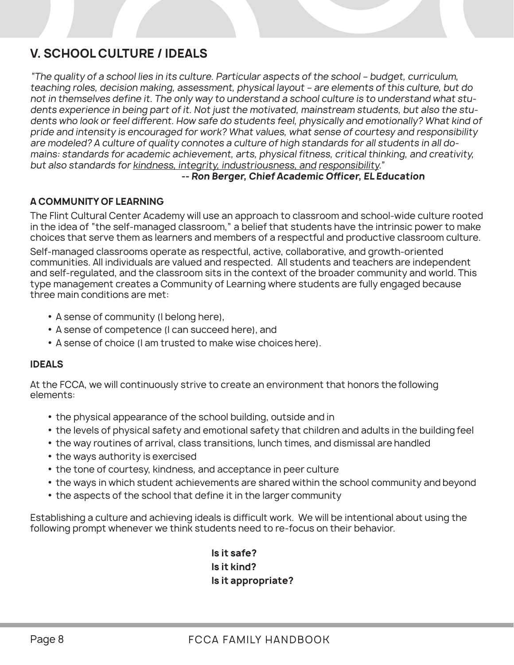### **V. SCHOOL CULTURE / IDEALS**

"The quality of a school lies in its culture. Particular aspects of the school – budget, curriculum, teaching roles, decision making, assessment, physical layout – are elements of this culture, but do not in themselves define it. The only way to understand a school culture is to understand what students experience in being part of it. Not just the motivated, mainstream students, but also the students who look or feel different. How safe do students feel, physically and emotionally? What kind of pride and intensity is encouraged for work? What values, what sense of courtesy and responsibility are modeled? A culture of quality connotes a culture of high standards for all students in all domains: standards for academic achievement, arts, physical fitness, critical thinking, and creativity, but also standards for kindness, integrity, industriousness, and responsibility."

### **-- Ron Berger, Chief Academic Officer, EL Education**

### **A COMMUNITY OF LEARNING**

The Flint Cultural Center Academy will use an approach to classroom and school-wide culture rooted in the idea of "the self-managed classroom," a belief that students have the intrinsic power to make choices that serve them as learners and members of a respectful and productive classroom culture.

Self-managed classrooms operate as respectful, active, collaborative, and growth-oriented communities. All individuals are valued and respected. All students and teachers are independent and self-regulated, and the classroom sits in the context of the broader community and world. This type management creates a Community of Learning where students are fully engaged because three main conditions are met:

- A sense of community (I belong here),
- A sense of competence (I can succeed here), and
- A sense of choice (I am trusted to make wise choices here).

### **IDEALS**

At the FCCA, we will continuously strive to create an environment that honors the following elements:

- the physical appearance of the school building, outside and in
- the levels of physical safety and emotional safety that children and adults in the building feel
- the way routines of arrival, class transitions, lunch times, and dismissal are handled
- the ways authority is exercised
- the tone of courtesy, kindness, and acceptance in peer culture
- the ways in which student achievements are shared within the school community and beyond
- the aspects of the school that define it in the larger community

Establishing a culture and achieving ideals is difficult work. We will be intentional about using the following prompt whenever we think students need to re-focus on their behavior.

> **Is it safe? Is it kind? Is it appropriate?**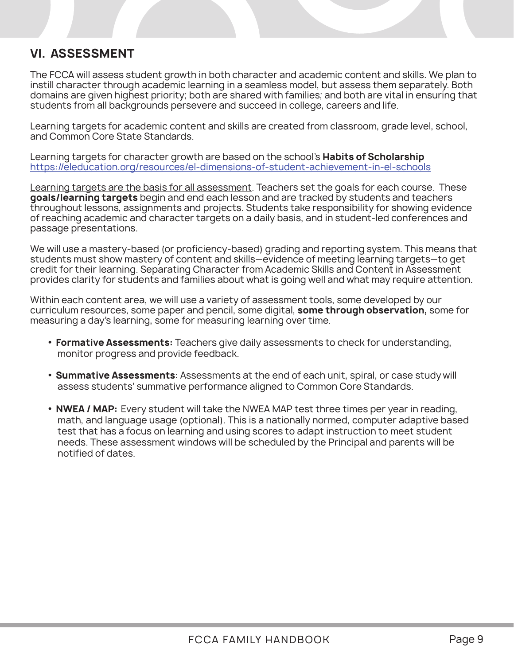### **VI. ASSESSMENT**

The FCCA will assess student growth in both character and academic content and skills. We plan to instill character through academic learning in a seamless model, but assess them separately. Both domains are given highest priority; both are shared with families; and both are vital in ensuring that students from all backgrounds persevere and succeed in college, careers and life.

Learning targets for academic content and skills are created from classroom, grade level, school, and Common Core State Standards.

Learning targets for character growth are based on the school's **Habits of Scholarship**  https://eleducation.org/resources/el-dimensions-of-student-achievement-in-el-schools

Learning targets are the basis for all assessment. Teachers set the goals for each course. These **goals/learning targets** begin and end each lesson and are tracked by students and teachers throughout lessons, assignments and projects. Students take responsibility for showing evidence of reaching academic and character targets on a daily basis, and in student-led conferences and passage presentations.

We will use a mastery-based (or proficiency-based) grading and reporting system. This means that students must show mastery of content and skills—evidence of meeting learning targets—to get credit for their learning. Separating Character from Academic Skills and Content in Assessment provides clarity for students and families about what is going well and what may require attention.

Within each content area, we will use a variety of assessment tools, some developed by our curriculum resources, some paper and pencil, some digital, **some through observation,** some for measuring a day's learning, some for measuring learning over time.

- **Formative Assessments:** Teachers give daily assessments to check for understanding, monitor progress and provide feedback.
- **Summative Assessments**: Assessments at the end of each unit, spiral, or case study will assess students' summative performance aligned to Common Core Standards.
- **NWEA / MAP:** Every student will take the NWEA MAP test three times per year in reading, math, and language usage (optional). This is a nationally normed, computer adaptive based test that has a focus on learning and using scores to adapt instruction to meet student needs. These assessment windows will be scheduled by the Principal and parents will be notified of dates.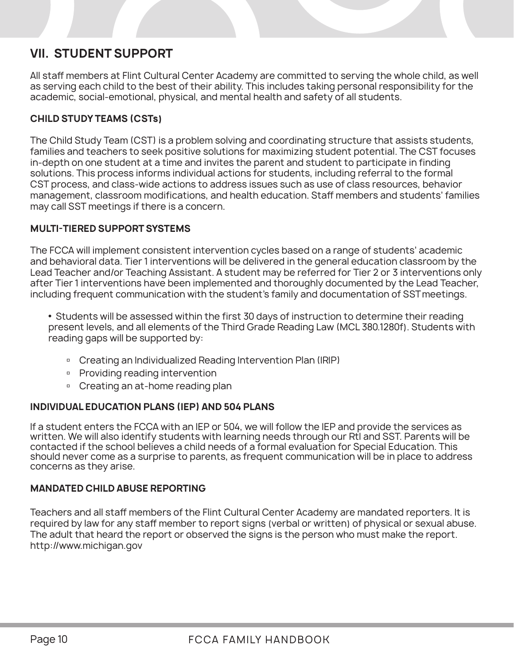### **VII. STUDENT SUPPORT**

All staff members at Flint Cultural Center Academy are committed to serving the whole child, as well as serving each child to the best of their ability. This includes taking personal responsibility for the academic, social-emotional, physical, and mental health and safety of all students.

### **CHILD STUDY TEAMS (CSTs)**

The Child Study Team (CST) is a problem solving and coordinating structure that assists students, families and teachers to seek positive solutions for maximizing student potential. The CST focuses in-depth on one student at a time and invites the parent and student to participate in finding solutions. This process informs individual actions for students, including referral to the formal CST process, and class-wide actions to address issues such as use of class resources, behavior management, classroom modifications, and health education. Staff members and students' families may call SST meetings if there is a concern.

### **MULTI-TIERED SUPPORT SYSTEMS**

The FCCA will implement consistent intervention cycles based on a range of students' academic and behavioral data. Tier 1 interventions will be delivered in the general education classroom by the Lead Teacher and/or Teaching Assistant. A student may be referred for Tier 2 or 3 interventions only after Tier 1 interventions have been implemented and thoroughly documented by the Lead Teacher, including frequent communication with the student's family and documentation of SST meetings.

• Students will be assessed within the first 30 days of instruction to determine their reading present levels, and all elements of the Third Grade Reading Law (MCL 380.1280f). Students with reading gaps will be supported by:

- □ Creating an Individualized Reading Intervention Plan (IRIP)
- **Providing reading intervention**
- <sup>o</sup> Creating an at-home reading plan

### **INDIVIDUAL EDUCATION PLANS (IEP) AND 504 PLANS**

If a student enters the FCCA with an IEP or 504, we will follow the IEP and provide the services as written. We will also identify students with learning needs through our RtI and SST. Parents will be contacted if the school believes a child needs of a formal evaluation for Special Education. This should never come as a surprise to parents, as frequent communication will be in place to address concerns as they arise.

### **MANDATED CHILD ABUSE REPORTING**

Teachers and all staff members of the Flint Cultural Center Academy are mandated reporters. It is required by law for any staff member to report signs (verbal or written) of physical or sexual abuse. The adult that heard the report or observed the signs is the person who must make the report. http://www.michigan.gov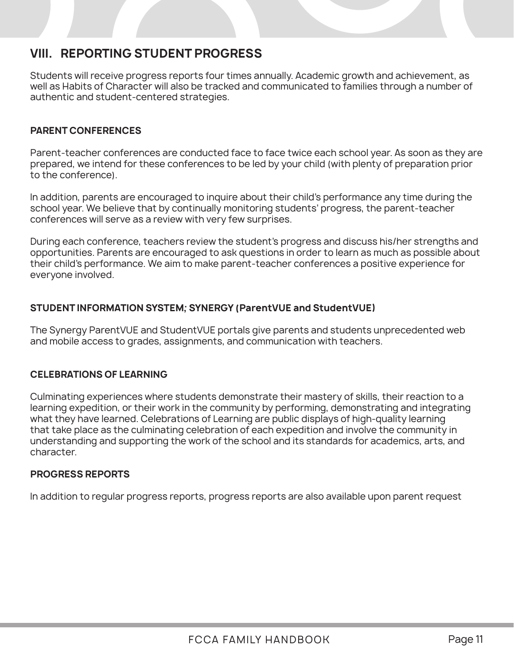### **VIII. REPORTING STUDENT PROGRESS**

Students will receive progress reports four times annually. Academic growth and achievement, as well as Habits of Character will also be tracked and communicated to families through a number of authentic and student-centered strategies.

### **PARENT CONFERENCES**

Parent-teacher conferences are conducted face to face twice each school year. As soon as they are prepared, we intend for these conferences to be led by your child (with plenty of preparation prior to the conference).

In addition, parents are encouraged to inquire about their child's performance any time during the school year. We believe that by continually monitoring students' progress, the parent-teacher conferences will serve as a review with very few surprises.

During each conference, teachers review the student's progress and discuss his/her strengths and opportunities. Parents are encouraged to ask questions in order to learn as much as possible about their child's performance. We aim to make parent-teacher conferences a positive experience for everyone involved.

### **STUDENT INFORMATION SYSTEM; SYNERGY (ParentVUE and StudentVUE)**

The Synergy ParentVUE and StudentVUE portals give parents and students unprecedented web and mobile access to grades, assignments, and communication with teachers.

### **CELEBRATIONS OF LEARNING**

Culminating experiences where students demonstrate their mastery of skills, their reaction to a learning expedition, or their work in the community by performing, demonstrating and integrating what they have learned. Celebrations of Learning are public displays of high-quality learning that take place as the culminating celebration of each expedition and involve the community in understanding and supporting the work of the school and its standards for academics, arts, and character.

### **PROGRESS REPORTS**

In addition to regular progress reports, progress reports are also available upon parent request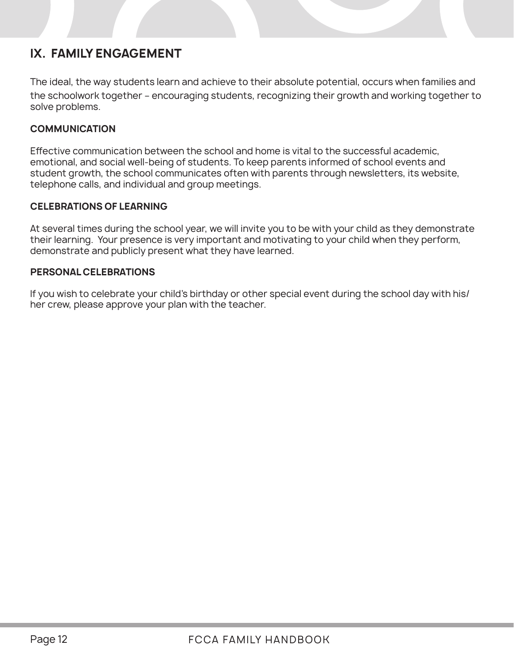### **IX. FAMILY ENGAGEMENT**

The ideal, the way students learn and achieve to their absolute potential, occurs when families and the schoolwork together – encouraging students, recognizing their growth and working together to solve problems.

### **COMMUNICATION**

Effective communication between the school and home is vital to the successful academic, emotional, and social well-being of students. To keep parents informed of school events and student growth, the school communicates often with parents through newsletters, its website, telephone calls, and individual and group meetings.

### **CELEBRATIONS OF LEARNING**

At several times during the school year, we will invite you to be with your child as they demonstrate their learning. Your presence is very important and motivating to your child when they perform, demonstrate and publicly present what they have learned.

### **PERSONAL CELEBRATIONS**

If you wish to celebrate your child's birthday or other special event during the school day with his/ her crew, please approve your plan with the teacher.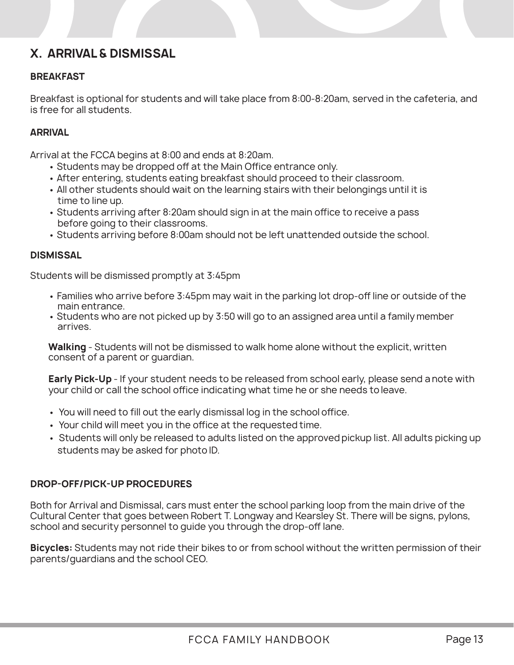### **X. ARRIVAL & DISMISSAL**

### **BREAKFAST**

Breakfast is optional for students and will take place from 8:00-8:20am, served in the cafeteria, and is free for all students.

### **ARRIVAL**

Arrival at the FCCA begins at 8:00 and ends at 8:20am.

- Students may be dropped off at the Main Office entrance only.
- After entering, students eating breakfast should proceed to their classroom.
- All other students should wait on the learning stairs with their belongings until it is time to line up.
- Students arriving after 8:20am should sign in at the main office to receive a pass before going to their classrooms.
- Students arriving before 8:00am should not be left unattended outside the school.

### **DISMISSAL**

Students will be dismissed promptly at 3:45pm

- Families who arrive before 3:45pm may wait in the parking lot drop-off line or outside of the main entrance.
- Students who are not picked up by 3:50 will go to an assigned area until a family member arrives.

**Walking** - Students will not be dismissed to walk home alone without the explicit, written consent of a parent or guardian.

**Early Pick-Up** - If your student needs to be released from school early, please send a note with your child or call the school office indicating what time he or she needs to leave.

- You will need to fill out the early dismissal log in the school office.
- Your child will meet you in the office at the requested time.
- Students will only be released to adults listed on the approved pickup list. All adults picking up students may be asked for photo ID.

### **DROP-OFF/PICK-UP PROCEDURES**

Both for Arrival and Dismissal, cars must enter the school parking loop from the main drive of the Cultural Center that goes between Robert T. Longway and Kearsley St. There will be signs, pylons, school and security personnel to guide you through the drop-off lane.

**Bicycles:** Students may not ride their bikes to or from school without the written permission of their parents/guardians and the school CEO.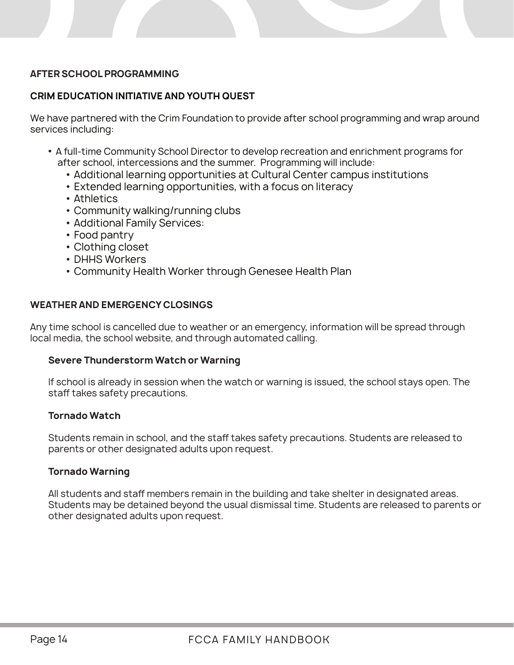### **AFTER SCHOOL PROGRAMMING**

### **CRIM EDUCATION INITIATIVE AND YOUTH QUEST**

We have partnered with the Crim Foundation to provide after school programming and wrap around services including:

- A full-time Community School Director to develop recreation and enrichment programs for after school, intercessions and the summer. Programming will include:
	- Additional learning opportunities at Cultural Center campus institutions
	- Extended learning opportunities, with a focus on literacy
	- Athletics
	- Community walking/running clubs
	- Additional Family Services:
	- Food pantry
	- Clothing closet
	- DHHS Workers
	- Community Health Worker through Genesee Health Plan

### **WEATHER AND EMERGENCY CLOSINGS**

Any time school is cancelled due to weather or an emergency, information will be spread through local media, the school website, and through automated calling.

### **Severe Thunderstorm Watch or Warning**

If school is already in session when the watch or warning is issued, the school stays open. The staff takes safety precautions.

### **Tornado Watch**

Students remain in school, and the staff takes safety precautions. Students are released to parents or other designated adults upon request.

### **Tornado Warning**

All students and staff members remain in the building and take shelter in designated areas. Students may be detained beyond the usual dismissal time. Students are released to parents or other designated adults upon request.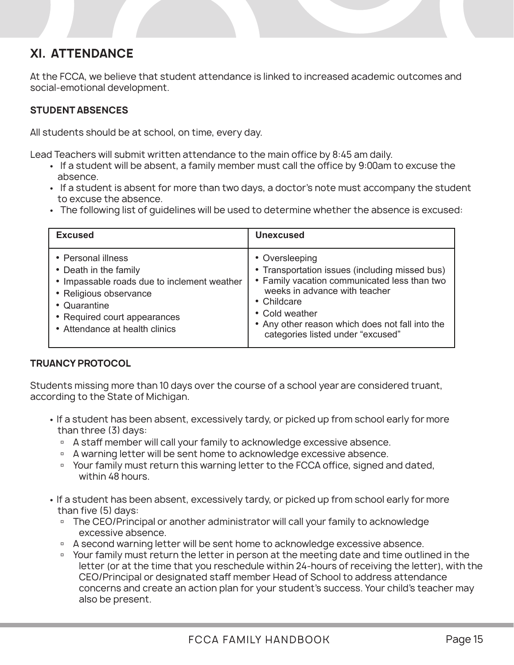### **XI. ATTENDANCE**

At the FCCA, we believe that student attendance is linked to increased academic outcomes and social-emotional development.

### **STUDENT ABSENCES**

All students should be at school, on time, every day.

Lead Teachers will submit written attendance to the main office by 8:45 am daily.

- If a student will be absent, a family member must call the office by 9:00am to excuse the absence.
- If a student is absent for more than two days, a doctor's note must accompany the student to excuse the absence.
- The following list of guidelines will be used to determine whether the absence is excused:

| <b>Excused</b>                                                                                                                                                                                         | <b>Unexcused</b>                                                                                                                                                                                                                                                           |
|--------------------------------------------------------------------------------------------------------------------------------------------------------------------------------------------------------|----------------------------------------------------------------------------------------------------------------------------------------------------------------------------------------------------------------------------------------------------------------------------|
| • Personal illness<br>• Death in the family<br>• Impassable roads due to inclement weather<br>• Religious observance<br>• Quarantine<br>• Required court appearances<br>• Attendance at health clinics | • Oversleeping<br>• Transportation issues (including missed bus)<br>• Family vacation communicated less than two<br>weeks in advance with teacher<br>• Childcare<br>• Cold weather<br>• Any other reason which does not fall into the<br>categories listed under "excused" |

### **TRUANCY PROTOCOL**

Students missing more than 10 days over the course of a school year are considered truant, according to the State of Michigan.

- If a student has been absent, excessively tardy, or picked up from school early for more than three (3) days:
	- □ A staff member will call your family to acknowledge excessive absence.
	- □ A warning letter will be sent home to acknowledge excessive absence.
	- Your family must return this warning letter to the FCCA office, signed and dated, within 48 hours.
- If a student has been absent, excessively tardy, or picked up from school early for more than five (5) days:
	- <sup>n</sup> The CEO/Principal or another administrator will call your family to acknowledge excessive absence.
	- □ A second warning letter will be sent home to acknowledge excessive absence.
	- Your family must return the letter in person at the meeting date and time outlined in the letter (or at the time that you reschedule within 24-hours of receiving the letter), with the CEO/Principal or designated staff member Head of School to address attendance concerns and create an action plan for your student's success. Your child's teacher may also be present.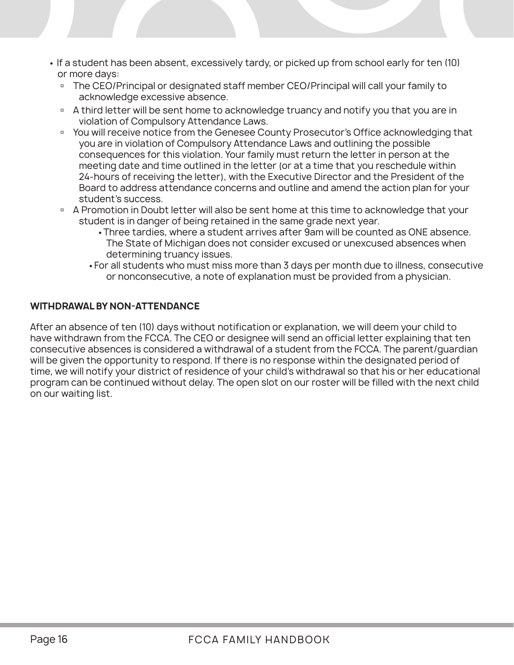- If a student has been absent, excessively tardy, or picked up from school early for ten (10) or more days:
	- The CEO/Principal or designated staff member CEO/Principal will call your family to acknowledge excessive absence.
	- <sup>D</sup> A third letter will be sent home to acknowledge truancy and notify you that you are in violation of Compulsory Attendance Laws.
	- You will receive notice from the Genesee County Prosecutor's Office acknowledging that you are in violation of Compulsory Attendance Laws and outlining the possible consequences for this violation. Your family must return the letter in person at the meeting date and time outlined in the letter (or at a time that you reschedule within 24-hours of receiving the letter), with the Executive Director and the President of the Board to address attendance concerns and outline and amend the action plan for your student's success.
	- **A Promotion in Doubt letter will also be sent home at this time to acknowledge that your**  student is in danger of being retained in the same grade next year.
		- •Three tardies, where a student arrives after 9am will be counted as ONE absence. The State of Michigan does not consider excused or unexcused absences when determining truancy issues.
		- •For all students who must miss more than 3 days per month due to illness, consecutive or nonconsecutive, a note of explanation must be provided from a physician.

### **WITHDRAWAL BY NON-ATTENDANCE**

After an absence of ten (10) days without notification or explanation, we will deem your child to have withdrawn from the FCCA. The CEO or designee will send an official letter explaining that ten consecutive absences is considered a withdrawal of a student from the FCCA. The parent/guardian will be given the opportunity to respond. If there is no response within the designated period of time, we will notify your district of residence of your child's withdrawal so that his or her educational program can be continued without delay. The open slot on our roster will be filled with the next child on our waiting list.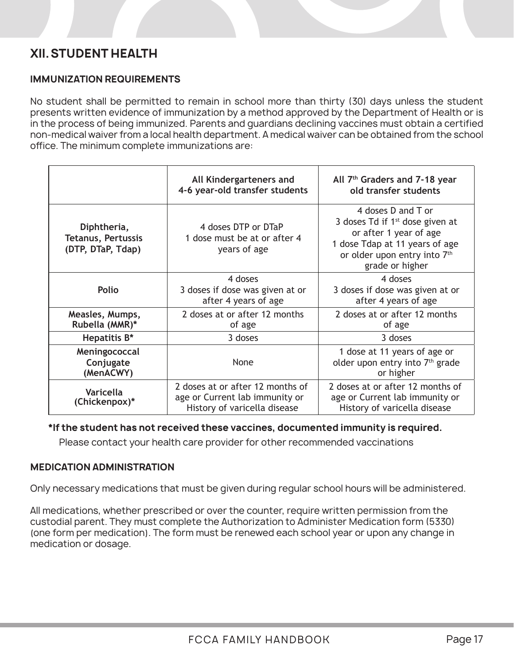### **XII.STUDENT HEALTH**

### **IMMUNIZATION REQUIREMENTS**

No student shall be permitted to remain in school more than thirty (30) days unless the student presents written evidence of immunization by a method approved by the Department of Health or is in the process of being immunized. Parents and guardians declining vaccines must obtain a certified non-medical waiver from a local health department. A medical waiver can be obtained from the school office. The minimum complete immunizations are:

|                                                               | All Kindergarteners and<br>4-6 year-old transfer students                                          | All 7 <sup>th</sup> Graders and 7-18 year<br>old transfer students                                                                                                                 |
|---------------------------------------------------------------|----------------------------------------------------------------------------------------------------|------------------------------------------------------------------------------------------------------------------------------------------------------------------------------------|
| Diphtheria,<br><b>Tetanus, Pertussis</b><br>(DTP, DTaP, Tdap) | 4 doses DTP or DTaP<br>1 dose must be at or after 4<br>years of age                                | 4 doses D and T or<br>3 doses $Td$ if 1 <sup>st</sup> dose given at<br>or after 1 year of age<br>1 dose Tdap at 11 years of age<br>or older upon entry into 7th<br>grade or higher |
| Polio                                                         | 4 doses<br>3 doses if dose was given at or<br>after 4 years of age                                 | 4 doses<br>3 doses if dose was given at or<br>after 4 years of age                                                                                                                 |
| Measles, Mumps,<br>Rubella (MMR)*                             | 2 doses at or after 12 months<br>of age                                                            | 2 doses at or after 12 months<br>of age                                                                                                                                            |
| Hepatitis B*                                                  | 3 doses                                                                                            | 3 doses                                                                                                                                                                            |
| Meningococcal<br>Conjugate<br>(MenACWY)                       | None                                                                                               | 1 dose at 11 years of age or<br>older upon entry into 7 <sup>th</sup> grade<br>or higher                                                                                           |
| Varicella<br>(Chickenpox)*                                    | 2 doses at or after 12 months of<br>age or Current lab immunity or<br>History of varicella disease | 2 doses at or after 12 months of<br>age or Current lab immunity or<br>History of varicella disease                                                                                 |

### **\*If the student has not received these vaccines, documented immunity is required.**

Please contact your health care provider for other recommended vaccinations

### **MEDICATION ADMINISTRATION**

Only necessary medications that must be given during regular school hours will be administered.

All medications, whether prescribed or over the counter, require written permission from the custodial parent. They must complete the Authorization to Administer Medication form (5330) (one form per medication). The form must be renewed each school year or upon any change in medication or dosage.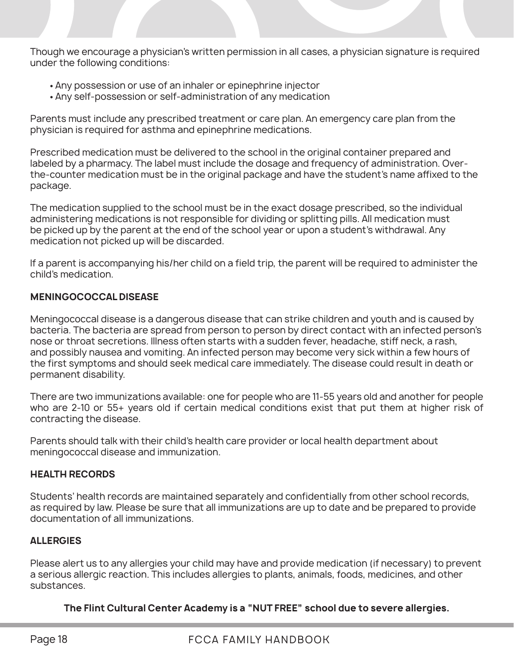Though we encourage a physician's written permission in all cases, a physician signature is required under the following conditions:

- Any possession or use of an inhaler or epinephrine injector
- Any self-possession or self-administration of any medication

Parents must include any prescribed treatment or care plan. An emergency care plan from the physician is required for asthma and epinephrine medications.

Prescribed medication must be delivered to the school in the original container prepared and labeled by a pharmacy. The label must include the dosage and frequency of administration. Overthe-counter medication must be in the original package and have the student's name affixed to the package.

The medication supplied to the school must be in the exact dosage prescribed, so the individual administering medications is not responsible for dividing or splitting pills. All medication must be picked up by the parent at the end of the school year or upon a student's withdrawal. Any medication not picked up will be discarded.

If a parent is accompanying his/her child on a field trip, the parent will be required to administer the child's medication.

### **MENINGOCOCCAL DISEASE**

Meningococcal disease is a dangerous disease that can strike children and youth and is caused by bacteria. The bacteria are spread from person to person by direct contact with an infected person's nose or throat secretions. Illness often starts with a sudden fever, headache, stiff neck, a rash, and possibly nausea and vomiting. An infected person may become very sick within a few hours of the first symptoms and should seek medical care immediately. The disease could result in death or permanent disability.

There are two immunizations available: one for people who are 11-55 years old and another for people who are 2-10 or 55+ years old if certain medical conditions exist that put them at higher risk of contracting the disease.

Parents should talk with their child's health care provider or local health department about meningococcal disease and immunization.

### **HEALTH RECORDS**

Students' health records are maintained separately and confidentially from other school records, as required by law. Please be sure that all immunizations are up to date and be prepared to provide documentation of all immunizations.

### **ALLERGIES**

Please alert us to any allergies your child may have and provide medication (if necessary) to prevent a serious allergic reaction. This includes allergies to plants, animals, foods, medicines, and other substances.

### **The Flint Cultural Center Academy is a "NUT FREE" school due to severe allergies.**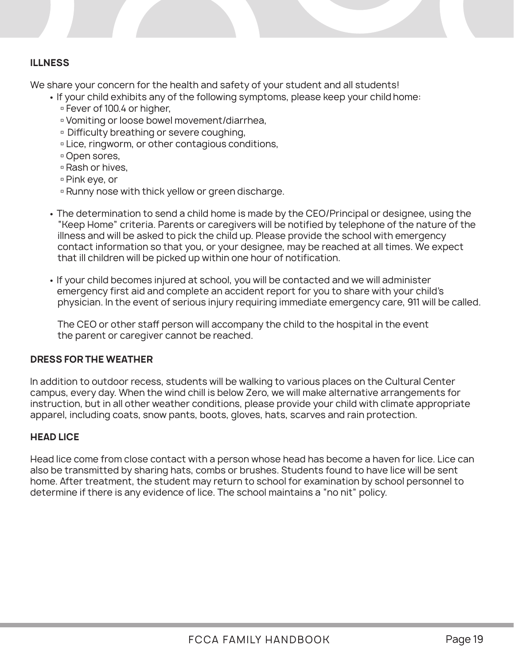### **ILLNESS**

We share your concern for the health and safety of your student and all students!

- If your child exhibits any of the following symptoms, please keep your child home:
	- Fever of 100.4 or higher,
	- Vomiting or loose bowel movement/diarrhea,
	- Difficulty breathing or severe coughing,
	- Lice, ringworm, or other contagious conditions,
	- Open sores,
	- Rash or hives,
	- Pink eye, or
	- Runny nose with thick yellow or green discharge.
- The determination to send a child home is made by the CEO/Principal or designee, using the "Keep Home" criteria. Parents or caregivers will be notified by telephone of the nature of the illness and will be asked to pick the child up. Please provide the school with emergency contact information so that you, or your designee, may be reached at all times. We expect that ill children will be picked up within one hour of notification.
- If your child becomes injured at school, you will be contacted and we will administer emergency first aid and complete an accident report for you to share with your child's physician. In the event of serious injury requiring immediate emergency care, 911 will be called.

The CEO or other staff person will accompany the child to the hospital in the event the parent or caregiver cannot be reached.

### **DRESS FOR THE WEATHER**

In addition to outdoor recess, students will be walking to various places on the Cultural Center campus, every day. When the wind chill is below Zero, we will make alternative arrangements for instruction, but in all other weather conditions, please provide your child with climate appropriate apparel, including coats, snow pants, boots, gloves, hats, scarves and rain protection.

### **HEAD LICE**

Head lice come from close contact with a person whose head has become a haven for lice. Lice can also be transmitted by sharing hats, combs or brushes. Students found to have lice will be sent home. After treatment, the student may return to school for examination by school personnel to determine if there is any evidence of lice. The school maintains a "no nit" policy.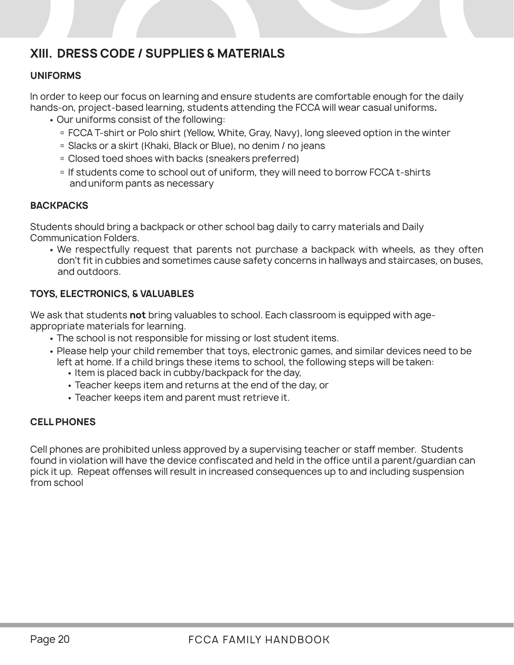### **XIII. DRESS CODE / SUPPLIES & MATERIALS**

### **UNIFORMS**

In order to keep our focus on learning and ensure students are comfortable enough for the daily hands-on, project-based learning, students attending the FCCA will wear casual uniforms**.**

- Our uniforms consist of the following:
	- **FCCA T-shirt or Polo shirt (Yellow, White, Gray, Navy), long sleeved option in the winter**
	- □ Slacks or a skirt (Khaki, Black or Blue), no denim / no jeans
	- Closed toed shoes with backs (sneakers preferred)
	- If students come to school out of uniform, they will need to borrow FCCA t-shirts and uniform pants as necessary

### **BACKPACKS**

Students should bring a backpack or other school bag daily to carry materials and Daily Communication Folders.

• We respectfully request that parents not purchase a backpack with wheels, as they often don't fit in cubbies and sometimes cause safety concerns in hallways and staircases, on buses, and outdoors.

### **TOYS, ELECTRONICS, & VALUABLES**

We ask that students **not** bring valuables to school. Each classroom is equipped with ageappropriate materials for learning.

- The school is not responsible for missing or lost student items.
- Please help your child remember that toys, electronic games, and similar devices need to be left at home. If a child brings these items to school, the following steps will be taken:
	- Item is placed back in cubby/backpack for the day,
	- Teacher keeps item and returns at the end of the day, or
	- Teacher keeps item and parent must retrieve it.

### **CELL PHONES**

Cell phones are prohibited unless approved by a supervising teacher or staff member. Students found in violation will have the device confiscated and held in the office until a parent/guardian can pick it up. Repeat offenses will result in increased consequences up to and including suspension from school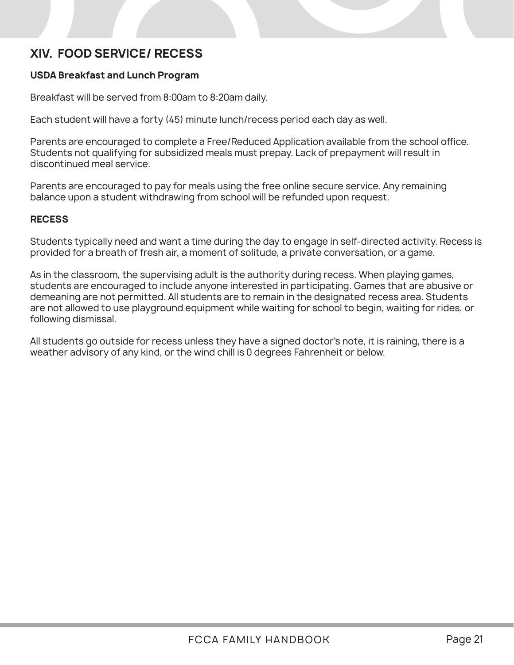### **XIV. FOOD SERVICE/ RECESS**

### **USDA Breakfast and Lunch Program**

Breakfast will be served from 8:00am to 8:20am daily.

Each student will have a forty (45) minute lunch/recess period each day as well.

Parents are encouraged to complete a Free/Reduced Application available from the school office. Students not qualifying for subsidized meals must prepay. Lack of prepayment will result in discontinued meal service.

Parents are encouraged to pay for meals using the free online secure service. Any remaining balance upon a student withdrawing from school will be refunded upon request.

### **RECESS**

Students typically need and want a time during the day to engage in self-directed activity. Recess is provided for a breath of fresh air, a moment of solitude, a private conversation, or a game.

As in the classroom, the supervising adult is the authority during recess. When playing games, students are encouraged to include anyone interested in participating. Games that are abusive or demeaning are not permitted. All students are to remain in the designated recess area. Students are not allowed to use playground equipment while waiting for school to begin, waiting for rides, or following dismissal.

All students go outside for recess unless they have a signed doctor's note, it is raining, there is a weather advisory of any kind, or the wind chill is 0 degrees Fahrenheit or below.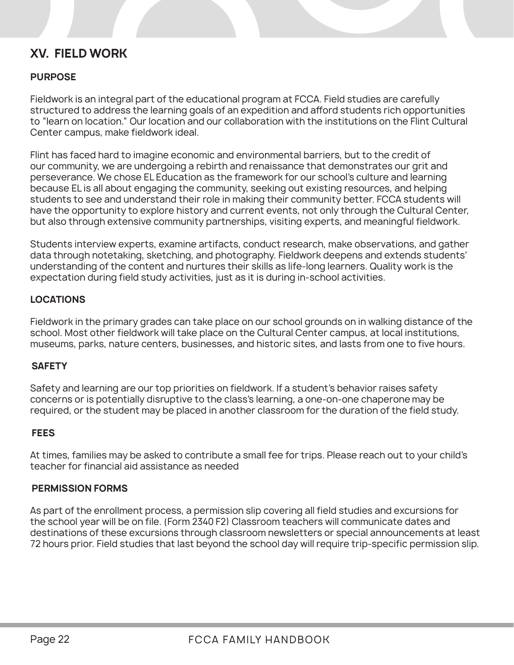### **XV. FIELD WORK**

### **PURPOSE**

Fieldwork is an integral part of the educational program at FCCA. Field studies are carefully structured to address the learning goals of an expedition and afford students rich opportunities to "learn on location." Our location and our collaboration with the institutions on the Flint Cultural Center campus, make fieldwork ideal.

Flint has faced hard to imagine economic and environmental barriers, but to the credit of our community, we are undergoing a rebirth and renaissance that demonstrates our grit and perseverance. We chose EL Education as the framework for our school's culture and learning because EL is all about engaging the community, seeking out existing resources, and helping students to see and understand their role in making their community better. FCCA students will have the opportunity to explore history and current events, not only through the Cultural Center, but also through extensive community partnerships, visiting experts, and meaningful fieldwork.

Students interview experts, examine artifacts, conduct research, make observations, and gather data through notetaking, sketching, and photography. Fieldwork deepens and extends students' understanding of the content and nurtures their skills as life-long learners. Quality work is the expectation during field study activities, just as it is during in-school activities.

### **LOCATIONS**

Fieldwork in the primary grades can take place on our school grounds on in walking distance of the school. Most other fieldwork will take place on the Cultural Center campus, at local institutions, museums, parks, nature centers, businesses, and historic sites, and lasts from one to five hours.

### **SAFETY**

Safety and learning are our top priorities on fieldwork. If a student's behavior raises safety concerns or is potentially disruptive to the class's learning, a one-on-one chaperone may be required, or the student may be placed in another classroom for the duration of the field study.

### **FEES**

At times, families may be asked to contribute a small fee for trips. Please reach out to your child's teacher for financial aid assistance as needed

### **PERMISSION FORMS**

As part of the enrollment process, a permission slip covering all field studies and excursions for the school year will be on file. (Form 2340 F2) Classroom teachers will communicate dates and destinations of these excursions through classroom newsletters or special announcements at least 72 hours prior. Field studies that last beyond the school day will require trip-specific permission slip.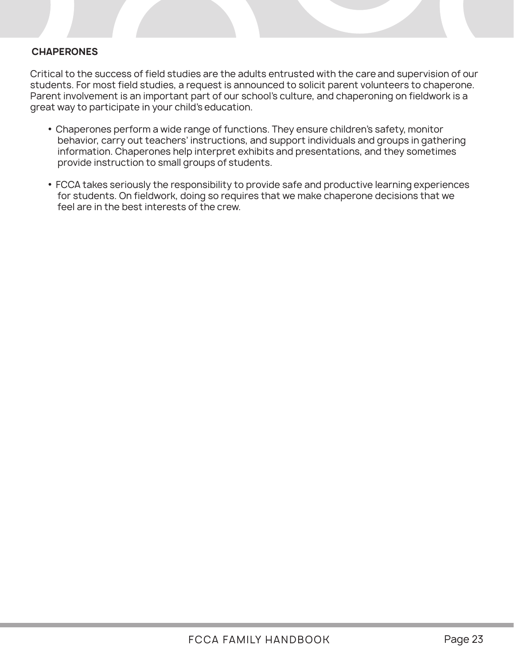### **CHAPERONES**

Critical to the success of field studies are the adults entrusted with the care and supervision of our students. For most field studies, a request is announced to solicit parent volunteers to chaperone. Parent involvement is an important part of our school's culture, and chaperoning on fieldwork is a great way to participate in your child's education.

- Chaperones perform a wide range of functions. They ensure children's safety, monitor behavior, carry out teachers' instructions, and support individuals and groups in gathering information. Chaperones help interpret exhibits and presentations, and they sometimes provide instruction to small groups of students.
- FCCA takes seriously the responsibility to provide safe and productive learning experiences for students. On fieldwork, doing so requires that we make chaperone decisions that we feel are in the best interests of the crew.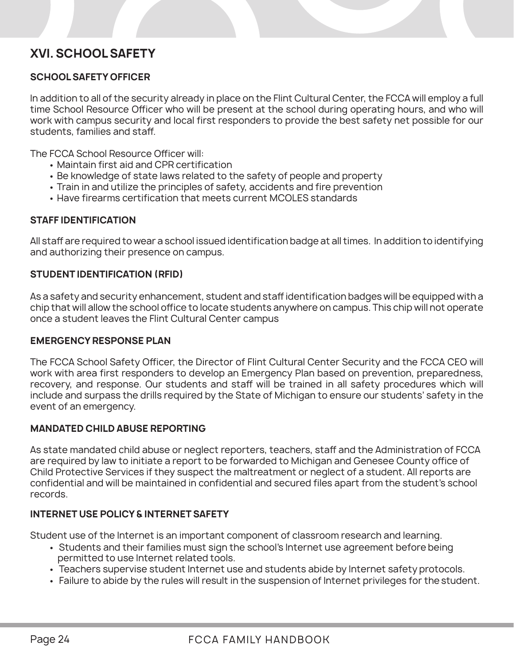### **XVI. SCHOOL SAFETY**

### **SCHOOL SAFETY OFFICER**

In addition to all of the security already in place on the Flint Cultural Center, the FCCA will employ a full time School Resource Officer who will be present at the school during operating hours, and who will work with campus security and local first responders to provide the best safety net possible for our students, families and staff.

The FCCA School Resource Officer will:

- Maintain first aid and CPR certification
- Be knowledge of state laws related to the safety of people and property
- Train in and utilize the principles of safety, accidents and fire prevention
- Have firearms certification that meets current MCOLES standards

### **STAFF IDENTIFICATION**

All staff are required to wear a school issued identification badge at all times. In addition to identifying and authorizing their presence on campus.

### **STUDENT IDENTIFICATION (RFID)**

As a safety and security enhancement, student and staff identification badges will be equipped with a chip that will allow the school office to locate students anywhere on campus. This chip will not operate once a student leaves the Flint Cultural Center campus

### **EMERGENCY RESPONSE PLAN**

The FCCA School Safety Officer, the Director of Flint Cultural Center Security and the FCCA CEO will work with area first responders to develop an Emergency Plan based on prevention, preparedness, recovery, and response. Our students and staff will be trained in all safety procedures which will include and surpass the drills required by the State of Michigan to ensure our students' safety in the event of an emergency.

### **MANDATED CHILD ABUSE REPORTING**

As state mandated child abuse or neglect reporters, teachers, staff and the Administration of FCCA are required by law to initiate a report to be forwarded to Michigan and Genesee County office of Child Protective Services if they suspect the maltreatment or neglect of a student. All reports are confidential and will be maintained in confidential and secured files apart from the student's school records.

### **INTERNET USE POLICY & INTERNET SAFETY**

Student use of the Internet is an important component of classroom research and learning.

- Students and their families must sign the school's Internet use agreement before being permitted to use Internet related tools.
- Teachers supervise student Internet use and students abide by Internet safety protocols.
- Failure to abide by the rules will result in the suspension of Internet privileges for the student.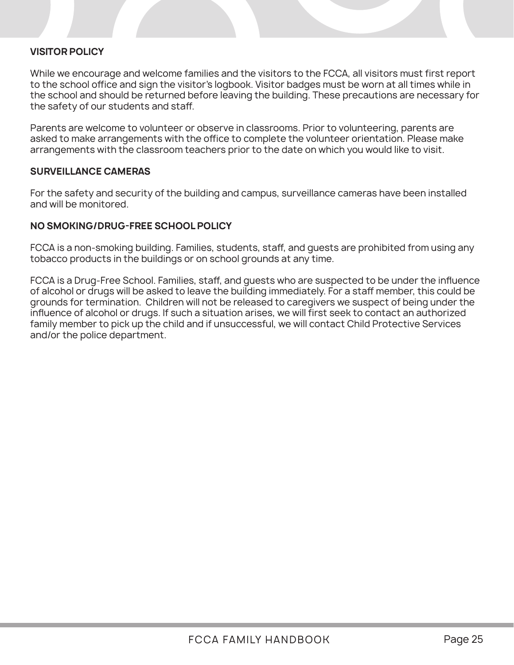### **VISITOR POLICY**

While we encourage and welcome families and the visitors to the FCCA, all visitors must first report to the school office and sign the visitor's logbook. Visitor badges must be worn at all times while in the school and should be returned before leaving the building. These precautions are necessary for the safety of our students and staff.

Parents are welcome to volunteer or observe in classrooms. Prior to volunteering, parents are asked to make arrangements with the office to complete the volunteer orientation. Please make arrangements with the classroom teachers prior to the date on which you would like to visit.

#### **SURVEILLANCE CAMERAS**

For the safety and security of the building and campus, surveillance cameras have been installed and will be monitored.

### **NO SMOKING/DRUG-FREE SCHOOL POLICY**

FCCA is a non-smoking building. Families, students, staff, and guests are prohibited from using any tobacco products in the buildings or on school grounds at any time.

FCCA is a Drug-Free School. Families, staff, and guests who are suspected to be under the influence of alcohol or drugs will be asked to leave the building immediately. For a staff member, this could be grounds for termination. Children will not be released to caregivers we suspect of being under the influence of alcohol or drugs. If such a situation arises, we will first seek to contact an authorized family member to pick up the child and if unsuccessful, we will contact Child Protective Services and/or the police department.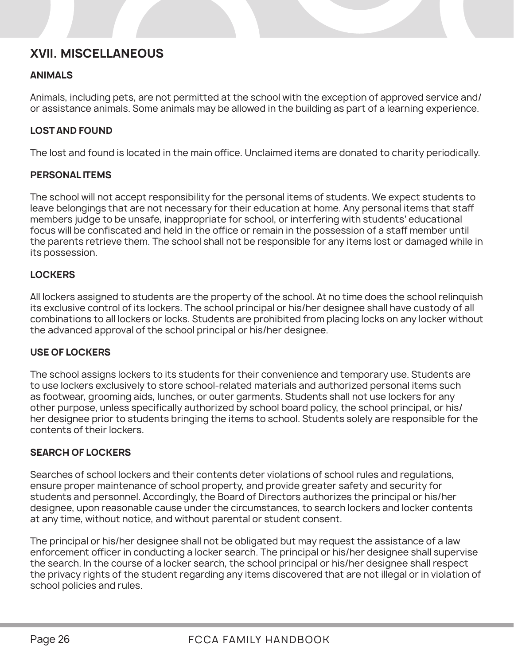### **XVII. MISCELLANEOUS**

### **ANIMALS**

Animals, including pets, are not permitted at the school with the exception of approved service and/ or assistance animals. Some animals may be allowed in the building as part of a learning experience.

### **LOST AND FOUND**

The lost and found is located in the main office. Unclaimed items are donated to charity periodically.

### **PERSONAL ITEMS**

The school will not accept responsibility for the personal items of students. We expect students to leave belongings that are not necessary for their education at home. Any personal items that staff members judge to be unsafe, inappropriate for school, or interfering with students' educational focus will be confiscated and held in the office or remain in the possession of a staff member until the parents retrieve them. The school shall not be responsible for any items lost or damaged while in its possession.

### **LOCKERS**

All lockers assigned to students are the property of the school. At no time does the school relinquish its exclusive control of its lockers. The school principal or his/her designee shall have custody of all combinations to all lockers or locks. Students are prohibited from placing locks on any locker without the advanced approval of the school principal or his/her designee.

### **USE OF LOCKERS**

The school assigns lockers to its students for their convenience and temporary use. Students are to use lockers exclusively to store school-related materials and authorized personal items such as footwear, grooming aids, lunches, or outer garments. Students shall not use lockers for any other purpose, unless specifically authorized by school board policy, the school principal, or his/ her designee prior to students bringing the items to school. Students solely are responsible for the contents of their lockers.

### **SEARCH OF LOCKERS**

Searches of school lockers and their contents deter violations of school rules and regulations, ensure proper maintenance of school property, and provide greater safety and security for students and personnel. Accordingly, the Board of Directors authorizes the principal or his/her designee, upon reasonable cause under the circumstances, to search lockers and locker contents at any time, without notice, and without parental or student consent.

The principal or his/her designee shall not be obligated but may request the assistance of a law enforcement officer in conducting a locker search. The principal or his/her designee shall supervise the search. In the course of a locker search, the school principal or his/her designee shall respect the privacy rights of the student regarding any items discovered that are not illegal or in violation of school policies and rules.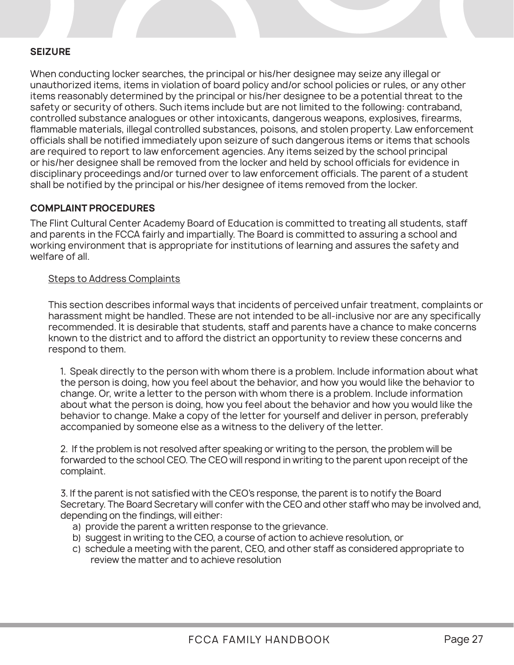### **SEIZURE**

When conducting locker searches, the principal or his/her designee may seize any illegal or unauthorized items, items in violation of board policy and/or school policies or rules, or any other items reasonably determined by the principal or his/her designee to be a potential threat to the safety or security of others. Such items include but are not limited to the following: contraband, controlled substance analogues or other intoxicants, dangerous weapons, explosives, firearms, flammable materials, illegal controlled substances, poisons, and stolen property. Law enforcement officials shall be notified immediately upon seizure of such dangerous items or items that schools are required to report to law enforcement agencies. Any items seized by the school principal or his/her designee shall be removed from the locker and held by school officials for evidence in disciplinary proceedings and/or turned over to law enforcement officials. The parent of a student shall be notified by the principal or his/her designee of items removed from the locker.

### **COMPLAINT PROCEDURES**

The Flint Cultural Center Academy Board of Education is committed to treating all students, staff and parents in the FCCA fairly and impartially. The Board is committed to assuring a school and working environment that is appropriate for institutions of learning and assures the safety and welfare of all.

### Steps to Address Complaints

This section describes informal ways that incidents of perceived unfair treatment, complaints or harassment might be handled. These are not intended to be all-inclusive nor are any specifically recommended. It is desirable that students, staff and parents have a chance to make concerns known to the district and to afford the district an opportunity to review these concerns and respond to them.

1. Speak directly to the person with whom there is a problem. Include information about what the person is doing, how you feel about the behavior, and how you would like the behavior to change. Or, write a letter to the person with whom there is a problem. Include information about what the person is doing, how you feel about the behavior and how you would like the behavior to change. Make a copy of the letter for yourself and deliver in person, preferably accompanied by someone else as a witness to the delivery of the letter.

2. If the problem is not resolved after speaking or writing to the person, the problem will be forwarded to the school CEO. The CEO will respond in writing to the parent upon receipt of the complaint.

3. If the parent is not satisfied with the CEO's response, the parent is to notify the Board Secretary. The Board Secretary will confer with the CEO and other staff who may be involved and, depending on the findings, will either:

- a) provide the parent a written response to the grievance.
- b) suggest in writing to the CEO, a course of action to achieve resolution, or
- c) schedule a meeting with the parent, CEO, and other staff as considered appropriate to review the matter and to achieve resolution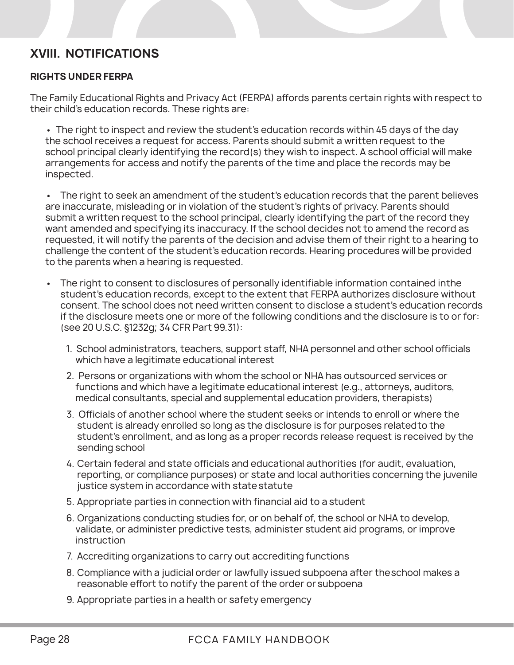### **XVIII. NOTIFICATIONS**

### **RIGHTS UNDER FERPA**

The Family Educational Rights and Privacy Act (FERPA) affords parents certain rights with respect to their child's education records. These rights are:

• The right to inspect and review the student's education records within 45 days of the day the school receives a request for access. Parents should submit a written request to the school principal clearly identifying the record(s) they wish to inspect. A school official will make arrangements for access and notify the parents of the time and place the records may be inspected.

• The right to seek an amendment of the student's education records that the parent believes are inaccurate, misleading or in violation of the student's rights of privacy. Parents should submit a written request to the school principal, clearly identifying the part of the record they want amended and specifying its inaccuracy. If the school decides not to amend the record as requested, it will notify the parents of the decision and advise them of their right to a hearing to challenge the content of the student's education records. Hearing procedures will be provided to the parents when a hearing is requested.

- The right to consent to disclosures of personally identifiable information contained in the student's education records, except to the extent that FERPA authorizes disclosure without consent. The school does not need written consent to disclose a student's education records if the disclosure meets one or more of the following conditions and the disclosure is to or for: (see 20 U.S.C. §1232g; 34 CFR Part 99.31):
	- 1. School administrators, teachers, support staff, NHA personnel and other school officials which have a legitimate educational interest
	- 2. Persons or organizations with whom the school or NHA has outsourced services or functions and which have a legitimate educational interest (e.g., attorneys, auditors, medical consultants, special and supplemental education providers, therapists)
	- 3. Officials of another school where the student seeks or intends to enroll or where the student is already enrolled so long as the disclosure is for purposes related to the student's enrollment, and as long as a proper records release request is received by the sending school
	- 4. Certain federal and state officials and educational authorities (for audit, evaluation, reporting, or compliance purposes) or state and local authorities concerning the juvenile justice system in accordance with state statute
	- 5. Appropriate parties in connection with financial aid to a student
	- 6. Organizations conducting studies for, or on behalf of, the school or NHA to develop, validate, or administer predictive tests, administer student aid programs, or improve instruction
	- 7. Accrediting organizations to carry out accrediting functions
	- 8. Compliance with a judicial order or lawfully issued subpoena after the school makes a reasonable effort to notify the parent of the order or subpoena
	- 9. Appropriate parties in a health or safety emergency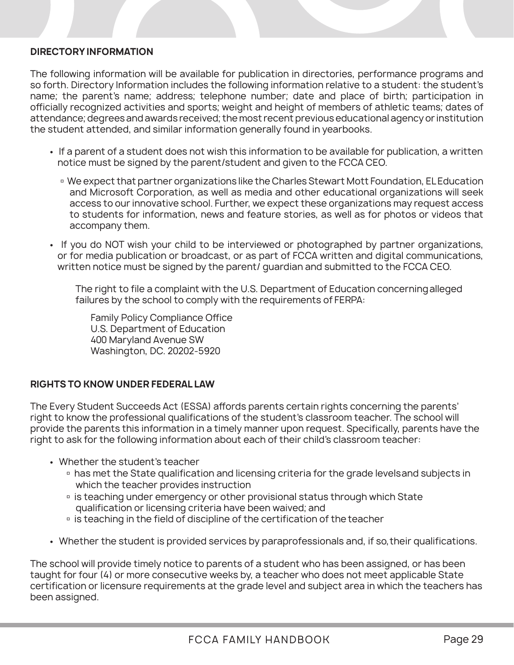### **DIRECTORY INFORMATION**

The following information will be available for publication in directories, performance programs and so forth. Directory Information includes the following information relative to a student: the student's name; the parent's name; address; telephone number; date and place of birth; participation in officially recognized activities and sports; weight and height of members of athletic teams; dates of attendance; degrees and awards received; the most recent previous educational agency or institution the student attended, and similar information generally found in yearbooks.

- If a parent of a student does not wish this information to be available for publication, a written notice must be signed by the parent/student and given to the FCCA CEO.
	- We expect that partner organizations like the Charles Stewart Mott Foundation, EL Education and Microsoft Corporation, as well as media and other educational organizations will seek access to our innovative school. Further, we expect these organizations may request access to students for information, news and feature stories, as well as for photos or videos that accompany them.
- If you do NOT wish your child to be interviewed or photographed by partner organizations, or for media publication or broadcast, or as part of FCCA written and digital communications, written notice must be signed by the parent/ guardian and submitted to the FCCA CEO.

The right to file a complaint with the U.S. Department of Education concerning alleged failures by the school to comply with the requirements of FERPA:

Family Policy Compliance Office U.S. Department of Education 400 Maryland Avenue SW Washington, DC. 20202-5920

### **RIGHTS TO KNOW UNDER FEDERAL LAW**

The Every Student Succeeds Act (ESSA) affords parents certain rights concerning the parents' right to know the professional qualifications of the student's classroom teacher. The school will provide the parents this information in a timely manner upon request. Specifically, parents have the right to ask for the following information about each of their child's classroom teacher:

- Whether the student's teacher
	- **p** has met the State qualification and licensing criteria for the grade levels and subjects in which the teacher provides instruction
	- **Example 2** is teaching under emergency or other provisional status through which State qualification or licensing criteria have been waived; and
	- **II** is teaching in the field of discipline of the certification of the teacher
- Whether the student is provided services by paraprofessionals and, if so, their qualifications.

The school will provide timely notice to parents of a student who has been assigned, or has been taught for four (4) or more consecutive weeks by, a teacher who does not meet applicable State certification or licensure requirements at the grade level and subject area in which the teachers has been assigned.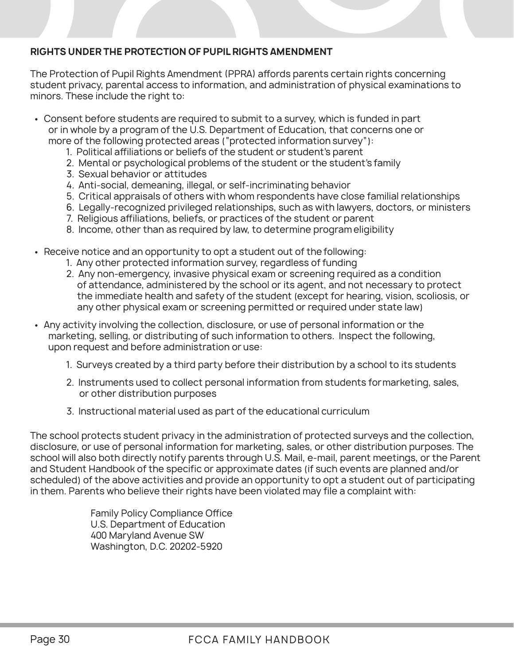### **RIGHTS UNDER THE PROTECTION OF PUPIL RIGHTS AMENDMENT**

The Protection of Pupil Rights Amendment (PPRA) affords parents certain rights concerning student privacy, parental access to information, and administration of physical examinations to minors. These include the right to:

- Consent before students are required to submit to a survey, which is funded in part or in whole by a program of the U.S. Department of Education, that concerns one or more of the following protected areas ("protected information survey"):
	- 1. Political affiliations or beliefs of the student or student's parent
	- 2. Mental or psychological problems of the student or the student's family
	- 3. Sexual behavior or attitudes
	- 4. Anti-social, demeaning, illegal, or self-incriminating behavior
	- 5. Critical appraisals of others with whom respondents have close familial relationships
	- 6. Legally-recognized privileged relationships, such as with lawyers, doctors, or ministers
	- 7. Religious affiliations, beliefs, or practices of the student or parent
	- 8. Income, other than as required by law, to determine program eligibility
- Receive notice and an opportunity to opt a student out of the following:
	- 1. Any other protected information survey, regardless of funding
	- 2. Any non-emergency, invasive physical exam or screening required as a condition of attendance, administered by the school or its agent, and not necessary to protect the immediate health and safety of the student (except for hearing, vision, scoliosis, or any other physical exam or screening permitted or required under state law)
- Any activity involving the collection, disclosure, or use of personal information or the marketing, selling, or distributing of such information to others. Inspect the following, upon request and before administration or use:
	- 1. Surveys created by a third party before their distribution by a school to its students
	- 2. Instruments used to collect personal information from students for marketing, sales, or other distribution purposes
	- 3. Instructional material used as part of the educational curriculum

The school protects student privacy in the administration of protected surveys and the collection, disclosure, or use of personal information for marketing, sales, or other distribution purposes. The school will also both directly notify parents through U.S. Mail, e-mail, parent meetings, or the Parent and Student Handbook of the specific or approximate dates (if such events are planned and/or scheduled) of the above activities and provide an opportunity to opt a student out of participating in them. Parents who believe their rights have been violated may file a complaint with:

> Family Policy Compliance Office U.S. Department of Education 400 Maryland Avenue SW Washington, D.C. 20202-5920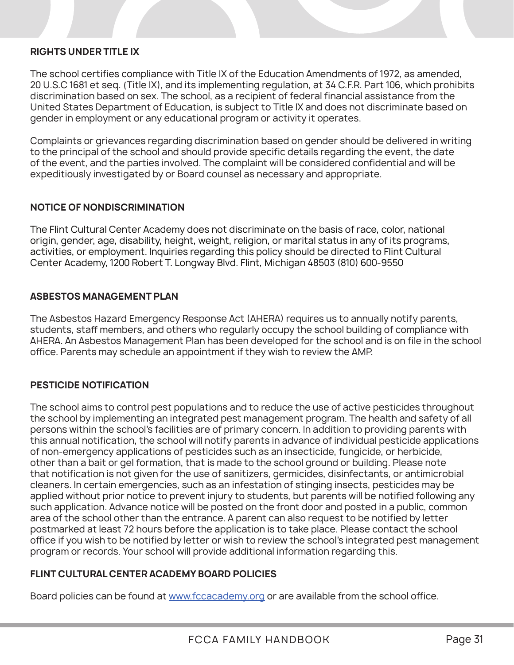### **RIGHTS UNDER TITLE IX**

The school certifies compliance with Title IX of the Education Amendments of 1972, as amended, 20 U.S.C 1681 et seq. (Title IX), and its implementing regulation, at 34 C.F.R. Part 106, which prohibits discrimination based on sex. The school, as a recipient of federal financial assistance from the United States Department of Education, is subject to Title IX and does not discriminate based on gender in employment or any educational program or activity it operates.

Complaints or grievances regarding discrimination based on gender should be delivered in writing to the principal of the school and should provide specific details regarding the event, the date of the event, and the parties involved. The complaint will be considered confidential and will be expeditiously investigated by or Board counsel as necessary and appropriate.

### **NOTICE OF NONDISCRIMINATION**

The Flint Cultural Center Academy does not discriminate on the basis of race, color, national origin, gender, age, disability, height, weight, religion, or marital status in any of its programs, activities, or employment. Inquiries regarding this policy should be directed to Flint Cultural Center Academy, 1200 Robert T. Longway Blvd. Flint, Michigan 48503 (810) 600-9550

### **ASBESTOS MANAGEMENT PLAN**

The Asbestos Hazard Emergency Response Act (AHERA) requires us to annually notify parents, students, staff members, and others who regularly occupy the school building of compliance with AHERA. An Asbestos Management Plan has been developed for the school and is on file in the school office. Parents may schedule an appointment if they wish to review the AMP.

### **PESTICIDE NOTIFICATION**

The school aims to control pest populations and to reduce the use of active pesticides throughout the school by implementing an integrated pest management program. The health and safety of all persons within the school's facilities are of primary concern. In addition to providing parents with this annual notification, the school will notify parents in advance of individual pesticide applications of non-emergency applications of pesticides such as an insecticide, fungicide, or herbicide, other than a bait or gel formation, that is made to the school ground or building. Please note that notification is not given for the use of sanitizers, germicides, disinfectants, or antimicrobial cleaners. In certain emergencies, such as an infestation of stinging insects, pesticides may be applied without prior notice to prevent injury to students, but parents will be notified following any such application. Advance notice will be posted on the front door and posted in a public, common area of the school other than the entrance. A parent can also request to be notified by letter postmarked at least 72 hours before the application is to take place. Please contact the school office if you wish to be notified by letter or wish to review the school's integrated pest management program or records. Your school will provide additional information regarding this.

### **FLINT CULTURAL CENTER ACADEMY BOARD POLICIES**

Board policies can be found at www.fccacademy.org or are available from the school office.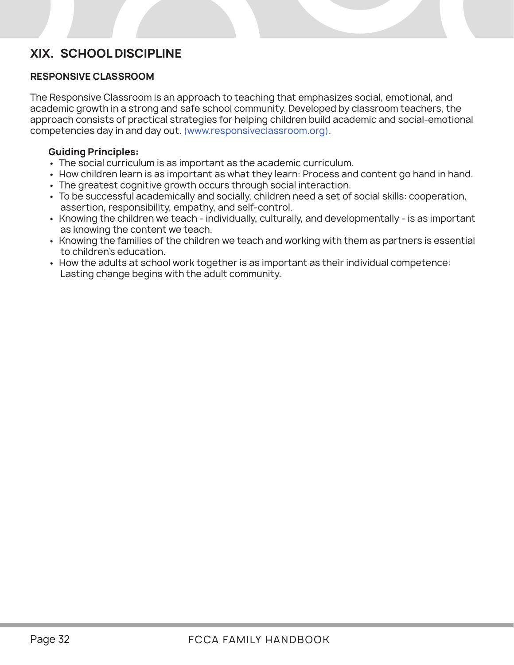### **XIX. SCHOOL DISCIPLINE**

### **RESPONSIVE CLASSROOM**

The Responsive Classroom is an approach to teaching that emphasizes social, emotional, and academic growth in a strong and safe school community. Developed by classroom teachers, the approach consists of practical strategies for helping children build academic and social-emotional competencies day in and day out. (www.responsiveclassroom.org).

### **Guiding Principles:**

- The social curriculum is as important as the academic curriculum.
- How children learn is as important as what they learn: Process and content go hand in hand.
- The greatest cognitive growth occurs through social interaction.
- To be successful academically and socially, children need a set of social skills: cooperation, assertion, responsibility, empathy, and self-control.
- Knowing the children we teach individually, culturally, and developmentally is as important as knowing the content we teach.
- Knowing the families of the children we teach and working with them as partners is essential to children's education.
- How the adults at school work together is as important as their individual competence: Lasting change begins with the adult community.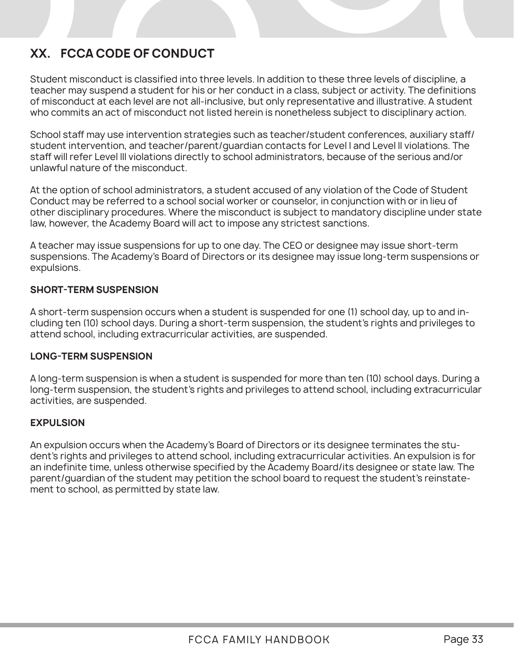### **XX. FCCA CODE OF CONDUCT**

Student misconduct is classified into three levels. In addition to these three levels of discipline, a teacher may suspend a student for his or her conduct in a class, subject or activity. The definitions of misconduct at each level are not all-inclusive, but only representative and illustrative. A student who commits an act of misconduct not listed herein is nonetheless subject to disciplinary action.

School staff may use intervention strategies such as teacher/student conferences, auxiliary staff/ student intervention, and teacher/parent/guardian contacts for Level I and Level II violations. The staff will refer Level III violations directly to school administrators, because of the serious and/or unlawful nature of the misconduct.

At the option of school administrators, a student accused of any violation of the Code of Student Conduct may be referred to a school social worker or counselor, in conjunction with or in lieu of other disciplinary procedures. Where the misconduct is subject to mandatory discipline under state law, however, the Academy Board will act to impose any strictest sanctions.

A teacher may issue suspensions for up to one day. The CEO or designee may issue short-term suspensions. The Academy's Board of Directors or its designee may issue long-term suspensions or expulsions.

### **SHORT-TERM SUSPENSION**

A short-term suspension occurs when a student is suspended for one (1) school day, up to and including ten (10) school days. During a short-term suspension, the student's rights and privileges to attend school, including extracurricular activities, are suspended.

### **LONG-TERM SUSPENSION**

A long-term suspension is when a student is suspended for more than ten (10) school days. During a long-term suspension, the student's rights and privileges to attend school, including extracurricular activities, are suspended.

### **EXPULSION**

An expulsion occurs when the Academy's Board of Directors or its designee terminates the student's rights and privileges to attend school, including extracurricular activities. An expulsion is for an indefinite time, unless otherwise specified by the Academy Board/its designee or state law. The parent/guardian of the student may petition the school board to request the student's reinstatement to school, as permitted by state law.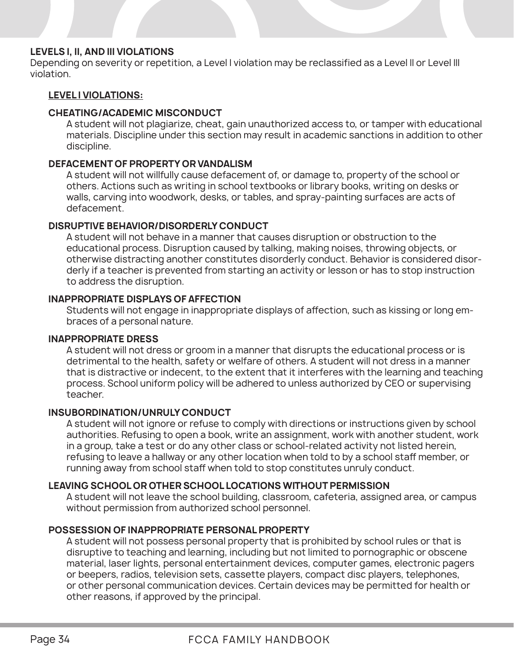### **LEVELS I, II, AND III VIOLATIONS**

Depending on severity or repetition, a Level I violation may be reclassified as a Level II or Level III violation.

### **LEVEL I VIOLATIONS:**

### **CHEATING/ACADEMIC MISCONDUCT**

A student will not plagiarize, cheat, gain unauthorized access to, or tamper with educational materials. Discipline under this section may result in academic sanctions in addition to other discipline.

### **DEFACEMENT OF PROPERTY OR VANDALISM**

A student will not willfully cause defacement of, or damage to, property of the school or others. Actions such as writing in school textbooks or library books, writing on desks or walls, carving into woodwork, desks, or tables, and spray-painting surfaces are acts of defacement.

### **DISRUPTIVE BEHAVIOR/DISORDERLY CONDUCT**

A student will not behave in a manner that causes disruption or obstruction to the educational process. Disruption caused by talking, making noises, throwing objects, or otherwise distracting another constitutes disorderly conduct. Behavior is considered disorderly if a teacher is prevented from starting an activity or lesson or has to stop instruction to address the disruption.

### **INAPPROPRIATE DISPLAYS OF AFFECTION**

Students will not engage in inappropriate displays of affection, such as kissing or long embraces of a personal nature.

### **INAPPROPRIATE DRESS**

A student will not dress or groom in a manner that disrupts the educational process or is detrimental to the health, safety or welfare of others. A student will not dress in a manner that is distractive or indecent, to the extent that it interferes with the learning and teaching process. School uniform policy will be adhered to unless authorized by CEO or supervising teacher.

### **INSUBORDINATION/UNRULY CONDUCT**

A student will not ignore or refuse to comply with directions or instructions given by school authorities. Refusing to open a book, write an assignment, work with another student, work in a group, take a test or do any other class or school-related activity not listed herein, refusing to leave a hallway or any other location when told to by a school staff member, or running away from school staff when told to stop constitutes unruly conduct.

### **LEAVING SCHOOL OR OTHER SCHOOL LOCATIONS WITHOUT PERMISSION**

 A student will not leave the school building, classroom, cafeteria, assigned area, or campus without permission from authorized school personnel.

### **POSSESSION OF INAPPROPRIATE PERSONAL PROPERTY**

A student will not possess personal property that is prohibited by school rules or that is disruptive to teaching and learning, including but not limited to pornographic or obscene material, laser lights, personal entertainment devices, computer games, electronic pagers or beepers, radios, television sets, cassette players, compact disc players, telephones, or other personal communication devices. Certain devices may be permitted for health or other reasons, if approved by the principal.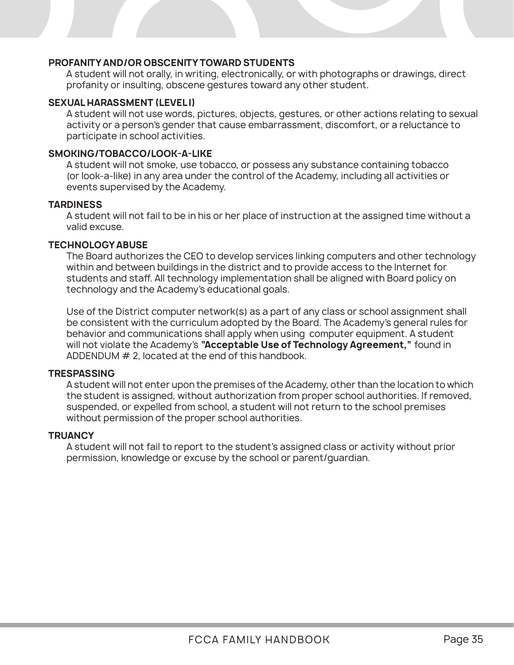### **PROFANITY AND/OR OBSCENITY TOWARD STUDENTS**

 A student will not orally, in writing, electronically, or with photographs or drawings, direct profanity or insulting, obscene gestures toward any other student.

### **SEXUAL HARASSMENT (LEVEL I)**

A student will not use words, pictures, objects, gestures, or other actions relating to sexual activity or a person's gender that cause embarrassment, discomfort, or a reluctance to participate in school activities.

### **SMOKING/TOBACCO/LOOK-A-LIKE**

A student will not smoke, use tobacco, or possess any substance containing tobacco (or look-a-like) in any area under the control of the Academy, including all activities or events supervised by the Academy.

#### **TARDINESS**

 A student will not fail to be in his or her place of instruction at the assigned time without a valid excuse.

#### **TECHNOLOGY ABUSE**

The Board authorizes the CEO to develop services linking computers and other technology within and between buildings in the district and to provide access to the Internet for students and staff. All technology implementation shall be aligned with Board policy on technology and the Academy's educational goals.

Use of the District computer network(s) as a part of any class or school assignment shall be consistent with the curriculum adopted by the Board. The Academy's general rules for behavior and communications shall apply when using computer equipment. A student will not violate the Academy's **"Acceptable Use of Technology Agreement,"** found in ADDENDUM # 2, located at the end of this handbook.

#### **TRESPASSING**

A student will not enter upon the premises of the Academy, other than the location to which the student is assigned, without authorization from proper school authorities. If removed, suspended, or expelled from school, a student will not return to the school premises without permission of the proper school authorities.

#### **TRUANCY**

 A student will not fail to report to the student's assigned class or activity without prior permission, knowledge or excuse by the school or parent/guardian.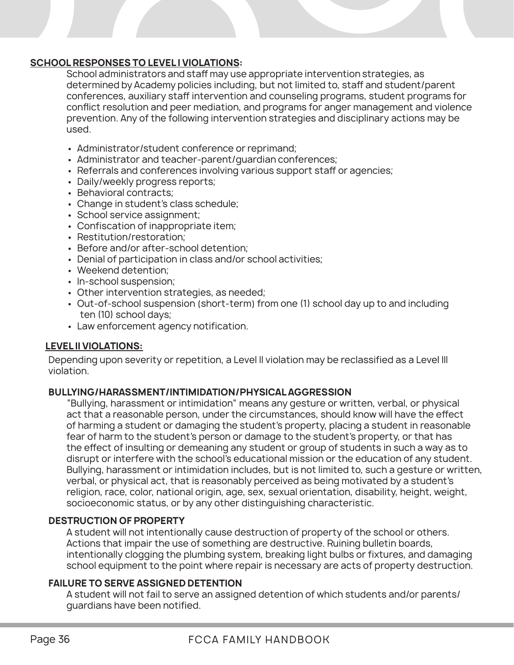### **SCHOOL RESPONSES TO LEVEL I VIOLATIONS:**

School administrators and staff may use appropriate intervention strategies, as determined by Academy policies including, but not limited to, staff and student/parent conferences, auxiliary staff intervention and counseling programs, student programs for conflict resolution and peer mediation, and programs for anger management and violence prevention. Any of the following intervention strategies and disciplinary actions may be used.

- Administrator/student conference or reprimand;
- Administrator and teacher-parent/guardian conferences;
- Referrals and conferences involving various support staff or agencies;
- Daily/weekly progress reports;
- Behavioral contracts;
- Change in student's class schedule;
- School service assignment;
- Confiscation of inappropriate item;
- Restitution/restoration;
- Before and/or after-school detention;
- Denial of participation in class and/or school activities;
- Weekend detention;
- In-school suspension;
- Other intervention strategies, as needed;
- Out-of-school suspension (short-term) from one (1) school day up to and including ten (10) school days;
- Law enforcement agency notification.

### **LEVEL II VIOLATIONS:**

Depending upon severity or repetition, a Level II violation may be reclassified as a Level III violation.

### **BULLYING/HARASSMENT/INTIMIDATION/PHYSICAL AGGRESSION**

"Bullying, harassment or intimidation" means any gesture or written, verbal, or physical act that a reasonable person, under the circumstances, should know will have the effect of harming a student or damaging the student's property, placing a student in reasonable fear of harm to the student's person or damage to the student's property, or that has the effect of insulting or demeaning any student or group of students in such a way as to disrupt or interfere with the school's educational mission or the education of any student. Bullying, harassment or intimidation includes, but is not limited to, such a gesture or written, verbal, or physical act, that is reasonably perceived as being motivated by a student's religion, race, color, national origin, age, sex, sexual orientation, disability, height, weight, socioeconomic status, or by any other distinguishing characteristic.

### **DESTRUCTION OF PROPERTY**

A student will not intentionally cause destruction of property of the school or others. Actions that impair the use of something are destructive. Ruining bulletin boards, intentionally clogging the plumbing system, breaking light bulbs or fixtures, and damaging school equipment to the point where repair is necessary are acts of property destruction.

### **FAILURE TO SERVE ASSIGNED DETENTION**

A student will not fail to serve an assigned detention of which students and/or parents/ guardians have been notified.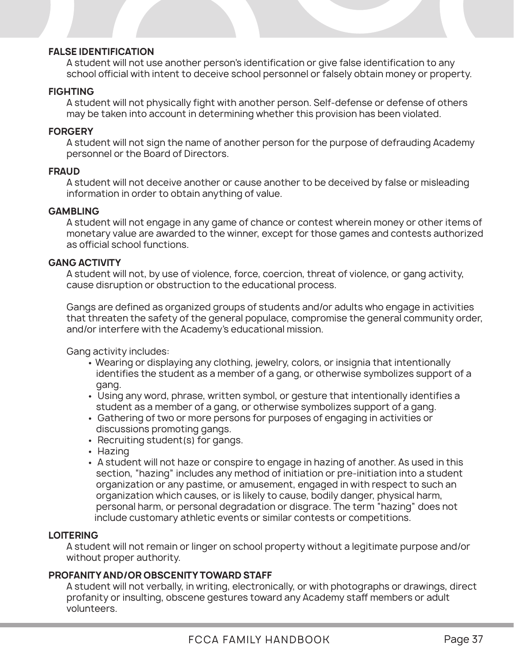### **FALSE IDENTIFICATION**

A student will not use another person's identification or give false identification to any school official with intent to deceive school personnel or falsely obtain money or property.

### **FIGHTING**

A student will not physically fight with another person. Self-defense or defense of others may be taken into account in determining whether this provision has been violated.

### **FORGERY**

A student will not sign the name of another person for the purpose of defrauding Academy personnel or the Board of Directors.

### **FRAUD**

A student will not deceive another or cause another to be deceived by false or misleading information in order to obtain anything of value.

### **GAMBLING**

A student will not engage in any game of chance or contest wherein money or other items of monetary value are awarded to the winner, except for those games and contests authorized as official school functions.

### **GANG ACTIVITY**

A student will not, by use of violence, force, coercion, threat of violence, or gang activity, cause disruption or obstruction to the educational process.

Gangs are defined as organized groups of students and/or adults who engage in activities that threaten the safety of the general populace, compromise the general community order, and/or interfere with the Academy's educational mission.

Gang activity includes:

- Wearing or displaying any clothing, jewelry, colors, or insignia that intentionally identifies the student as a member of a gang, or otherwise symbolizes support of a gang.
- Using any word, phrase, written symbol, or gesture that intentionally identifies a student as a member of a gang, or otherwise symbolizes support of a gang.
- Gathering of two or more persons for purposes of engaging in activities or discussions promoting gangs.
- Recruiting student(s) for gangs.
- Hazing
- A student will not haze or conspire to engage in hazing of another. As used in this section, "hazing" includes any method of initiation or pre-initiation into a student organization or any pastime, or amusement, engaged in with respect to such an organization which causes, or is likely to cause, bodily danger, physical harm, personal harm, or personal degradation or disgrace. The term "hazing" does not include customary athletic events or similar contests or competitions.

### **LOITERING**

A student will not remain or linger on school property without a legitimate purpose and/or without proper authority.

### **PROFANITY AND/OR OBSCENITY TOWARD STAFF**

A student will not verbally, in writing, electronically, or with photographs or drawings, direct profanity or insulting, obscene gestures toward any Academy staff members or adult volunteers.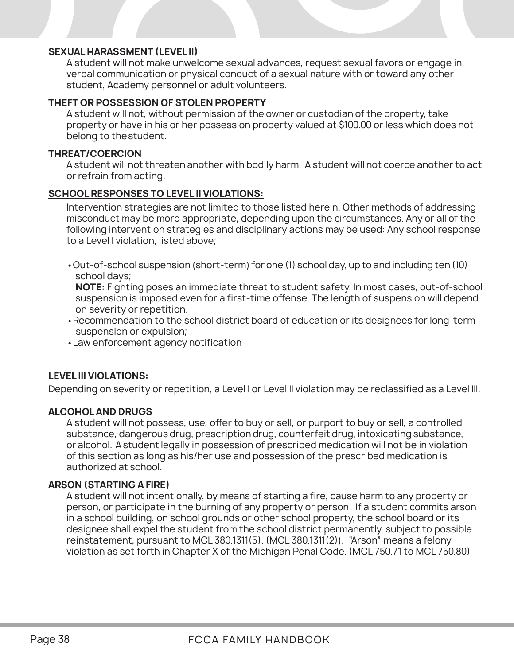### **SEXUAL HARASSMENT (LEVEL II)**

A student will not make unwelcome sexual advances, request sexual favors or engage in verbal communication or physical conduct of a sexual nature with or toward any other student, Academy personnel or adult volunteers.

### **THEFT OR POSSESSION OF STOLEN PROPERTY**

A student will not, without permission of the owner or custodian of the property, take property or have in his or her possession property valued at \$100.00 or less which does not belong to the student.

### **THREAT/COERCION**

A student will not threaten another with bodily harm. A student will not coerce another to act or refrain from acting.

### **SCHOOL RESPONSES TO LEVEL II VIOLATIONS:**

Intervention strategies are not limited to those listed herein. Other methods of addressing misconduct may be more appropriate, depending upon the circumstances. Any or all of the following intervention strategies and disciplinary actions may be used: Any school response to a Level I violation, listed above;

•Out-of-school suspension (short-term) for one (1) school day, up to and including ten (10) school days;

**NOTE:** Fighting poses an immediate threat to student safety. In most cases, out-of-school suspension is imposed even for a first-time offense. The length of suspension will depend on severity or repetition.

- •Recommendation to the school district board of education or its designees for long-term suspension or expulsion;
- •Law enforcement agency notification

### **LEVEL III VIOLATIONS:**

Depending on severity or repetition, a Level I or Level II violation may be reclassified as a Level III.

### **ALCOHOL AND DRUGS**

A student will not possess, use, offer to buy or sell, or purport to buy or sell, a controlled substance, dangerous drug, prescription drug, counterfeit drug, intoxicating substance, or alcohol. A student legally in possession of prescribed medication will not be in violation of this section as long as his/her use and possession of the prescribed medication is authorized at school.

### **ARSON (STARTING A FIRE)**

A student will not intentionally, by means of starting a fire, cause harm to any property or person, or participate in the burning of any property or person. If a student commits arson in a school building, on school grounds or other school property, the school board or its designee shall expel the student from the school district permanently, subject to possible reinstatement, pursuant to MCL 380.1311(5). (MCL 380.1311(2)). "Arson" means a felony violation as set forth in Chapter X of the Michigan Penal Code. (MCL 750.71 to MCL 750.80)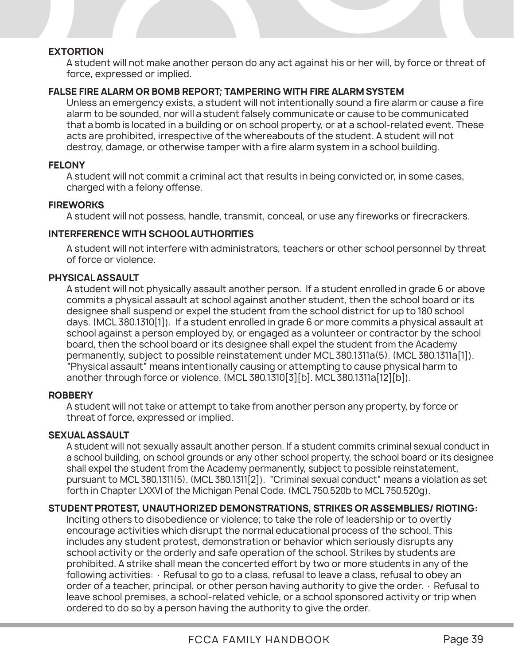### **EXTORTION**

A student will not make another person do any act against his or her will, by force or threat of force, expressed or implied.

### **FALSE FIRE ALARM OR BOMB REPORT; TAMPERING WITH FIRE ALARM SYSTEM**

Unless an emergency exists, a student will not intentionally sound a fire alarm or cause a fire alarm to be sounded, nor will a student falsely communicate or cause to be communicated that a bomb is located in a building or on school property, or at a school-related event. These acts are prohibited, irrespective of the whereabouts of the student. A student will not destroy, damage, or otherwise tamper with a fire alarm system in a school building.

#### **FELONY**

A student will not commit a criminal act that results in being convicted or, in some cases, charged with a felony offense.

### **FIREWORKS**

A student will not possess, handle, transmit, conceal, or use any fireworks or firecrackers.

### **INTERFERENCE WITH SCHOOL AUTHORITIES**

A student will not interfere with administrators, teachers or other school personnel by threat of force or violence.

### **PHYSICAL ASSAULT**

A student will not physically assault another person. If a student enrolled in grade 6 or above commits a physical assault at school against another student, then the school board or its designee shall suspend or expel the student from the school district for up to 180 school days. (MCL 380.1310[1]). If a student enrolled in grade 6 or more commits a physical assault at school against a person employed by, or engaged as a volunteer or contractor by the school board, then the school board or its designee shall expel the student from the Academy permanently, subject to possible reinstatement under MCL 380.1311a(5). (MCL 380.1311a[1]). "Physical assault" means intentionally causing or attempting to cause physical harm to another through force or violence. (MCL 380.1310[3][b]. MCL 380.1311a[12][b]).

### **ROBBERY**

A student will not take or attempt to take from another person any property, by force or threat of force, expressed or implied.

### **SEXUAL ASSAULT**

A student will not sexually assault another person. If a student commits criminal sexual conduct in a school building, on school grounds or any other school property, the school board or its designee shall expel the student from the Academy permanently, subject to possible reinstatement, pursuant to MCL 380.1311(5). (MCL 380.1311[2]). "Criminal sexual conduct" means a violation as set forth in Chapter LXXVI of the Michigan Penal Code. (MCL 750.520b to MCL 750.520q).

### **STUDENT PROTEST, UNAUTHORIZED DEMONSTRATIONS, STRIKES OR ASSEMBLIES/ RIOTING:**

Inciting others to disobedience or violence; to take the role of leadership or to overtly encourage activities which disrupt the normal educational process of the school. This includes any student protest, demonstration or behavior which seriously disrupts any school activity or the orderly and safe operation of the school. Strikes by students are prohibited. A strike shall mean the concerted effort by two or more students in any of the following activities: · Refusal to go to a class, refusal to leave a class, refusal to obey an order of a teacher, principal, or other person having authority to give the order. · Refusal to leave school premises, a school-related vehicle, or a school sponsored activity or trip when ordered to do so by a person having the authority to give the order.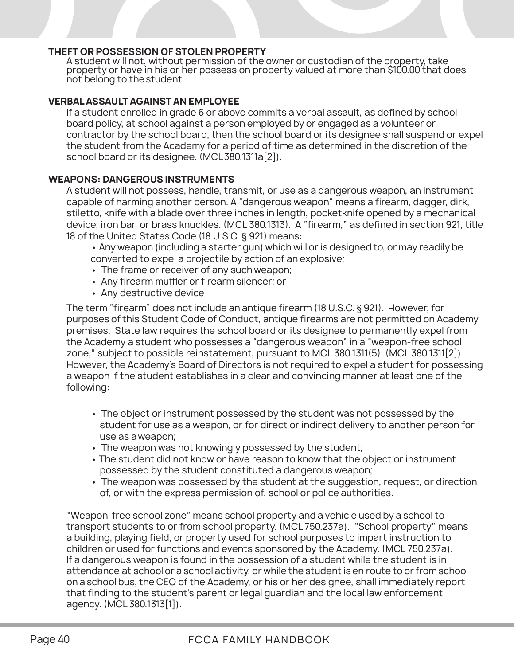### **THEFT OR POSSESSION OF STOLEN PROPERTY**

A student will not, without permission of the owner or custodian of the property, take property or have in his or her possession property valued at more than \$100.00 that does not belong to the student.

### **VERBAL ASSAULT AGAINST AN EMPLOYEE**

If a student enrolled in grade 6 or above commits a verbal assault, as defined by school board policy, at school against a person employed by or engaged as a volunteer or contractor by the school board, then the school board or its designee shall suspend or expel the student from the Academy for a period of time as determined in the discretion of the school board or its designee. (MCL380.1311a[2]).

### **WEAPONS: DANGEROUS INSTRUMENTS**

A student will not possess, handle, transmit, or use as a dangerous weapon, an instrument capable of harming another person. A "dangerous weapon" means a firearm, dagger, dirk, stiletto, knife with a blade over three inches in length, pocketknife opened by a mechanical device, iron bar, or brass knuckles. (MCL 380.1313). A "firearm," as defined in section 921, title 18 of the United States Code (18 U.S.C. § 921) means:

• Any weapon (including a starter gun) which will or is designed to, or may readily be converted to expel a projectile by action of an explosive;

- The frame or receiver of any such weapon;
- Any firearm muffler or firearm silencer; or
- Any destructive device

The term "firearm" does not include an antique firearm (18 U.S.C. § 921). However, for purposes of this Student Code of Conduct, antique firearms are not permitted on Academy premises. State law requires the school board or its designee to permanently expel from the Academy a student who possesses a "dangerous weapon" in a "weapon-free school zone," subject to possible reinstatement, pursuant to MCL 380.1311(5). (MCL 380.1311[2]). However, the Academy's Board of Directors is not required to expel a student for possessing a weapon if the student establishes in a clear and convincing manner at least one of the following:

- The object or instrument possessed by the student was not possessed by the student for use as a weapon, or for direct or indirect delivery to another person for use as a weapon;
- The weapon was not knowingly possessed by the student;
- The student did not know or have reason to know that the object or instrument possessed by the student constituted a dangerous weapon;
- The weapon was possessed by the student at the suggestion, request, or direction of, or with the express permission of, school or police authorities.

"Weapon-free school zone" means school property and a vehicle used by a school to transport students to or from school property. (MCL 750.237a). "School property" means a building, playing field, or property used for school purposes to impart instruction to children or used for functions and events sponsored by the Academy. (MCL 750.237a). If a dangerous weapon is found in the possession of a student while the student is in attendance at school or a school activity, or while the student is en route to or from school on a school bus, the CEO of the Academy, or his or her designee, shall immediately report that finding to the student's parent or legal guardian and the local law enforcement agency. (MCL 380.1313[1]).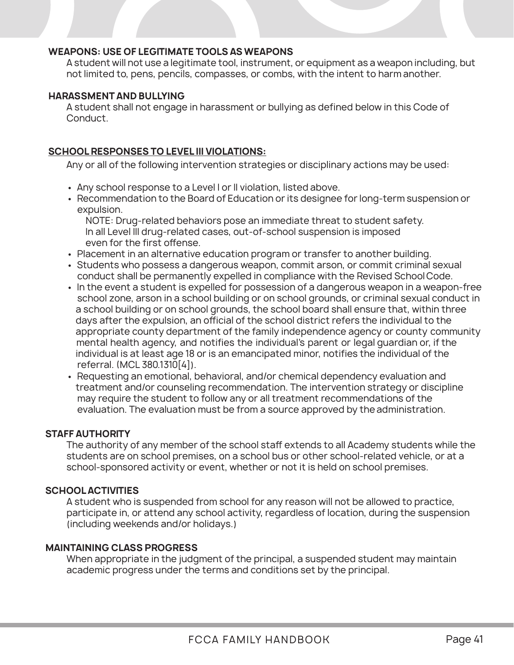### **WEAPONS: USE OF LEGITIMATE TOOLS AS WEAPONS**

A student will not use a legitimate tool, instrument, or equipment as a weapon including, but not limited to, pens, pencils, compasses, or combs, with the intent to harm another.

### **HARASSMENT AND BULLYING**

A student shall not engage in harassment or bullying as defined below in this Code of Conduct.

### **SCHOOL RESPONSES TO LEVEL III VIOLATIONS:**

Any or all of the following intervention strategies or disciplinary actions may be used:

- Any school response to a Level I or II violation, listed above.
- Recommendation to the Board of Education or its designee for long-term suspension or expulsion.

 NOTE: Drug-related behaviors pose an immediate threat to student safety. In all Level III drug-related cases, out-of-school suspension is imposed even for the first offense.

- Placement in an alternative education program or transfer to another building.
- Students who possess a dangerous weapon, commit arson, or commit criminal sexual conduct shall be permanently expelled in compliance with the Revised School Code.
- In the event a student is expelled for possession of a dangerous weapon in a weapon-free school zone, arson in a school building or on school grounds, or criminal sexual conduct in a school building or on school grounds, the school board shall ensure that, within three days after the expulsion, an official of the school district refers the individual to the appropriate county department of the family independence agency or county community mental health agency, and notifies the individual's parent or legal guardian or, if the individual is at least age 18 or is an emancipated minor, notifies the individual of the referral. (MCL 380.1310[4]).
- Requesting an emotional, behavioral, and/or chemical dependency evaluation and treatment and/or counseling recommendation. The intervention strategy or discipline may require the student to follow any or all treatment recommendations of the evaluation. The evaluation must be from a source approved by the administration.

### **STAFF AUTHORITY**

The authority of any member of the school staff extends to all Academy students while the students are on school premises, on a school bus or other school-related vehicle, or at a school-sponsored activity or event, whether or not it is held on school premises.

### **SCHOOL ACTIVITIES**

A student who is suspended from school for any reason will not be allowed to practice, participate in, or attend any school activity, regardless of location, during the suspension (including weekends and/or holidays.)

### **MAINTAINING CLASS PROGRESS**

When appropriate in the judgment of the principal, a suspended student may maintain academic progress under the terms and conditions set by the principal.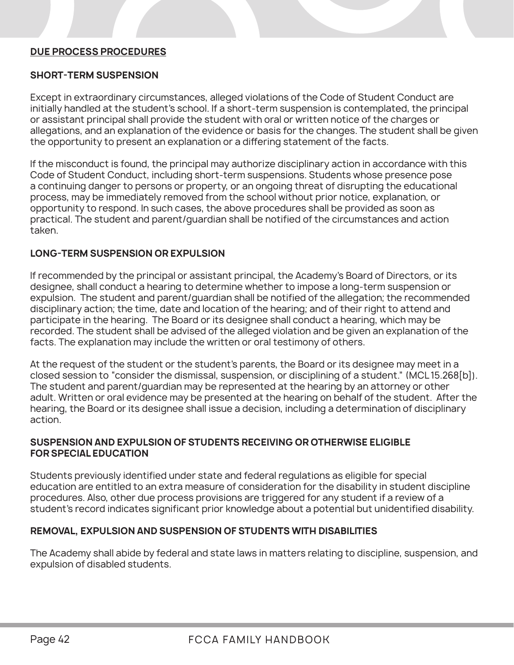### **DUE PROCESS PROCEDURES**

### **SHORT-TERM SUSPENSION**

Except in extraordinary circumstances, alleged violations of the Code of Student Conduct are initially handled at the student's school. If a short-term suspension is contemplated, the principal or assistant principal shall provide the student with oral or written notice of the charges or allegations, and an explanation of the evidence or basis for the changes. The student shall be given the opportunity to present an explanation or a differing statement of the facts.

If the misconduct is found, the principal may authorize disciplinary action in accordance with this Code of Student Conduct, including short-term suspensions. Students whose presence pose a continuing danger to persons or property, or an ongoing threat of disrupting the educational process, may be immediately removed from the school without prior notice, explanation, or opportunity to respond. In such cases, the above procedures shall be provided as soon as practical. The student and parent/guardian shall be notified of the circumstances and action taken.

### **LONG-TERM SUSPENSION OR EXPULSION**

If recommended by the principal or assistant principal, the Academy's Board of Directors, or its designee, shall conduct a hearing to determine whether to impose a long-term suspension or expulsion. The student and parent/guardian shall be notified of the allegation; the recommended disciplinary action; the time, date and location of the hearing; and of their right to attend and participate in the hearing. The Board or its designee shall conduct a hearing, which may be recorded. The student shall be advised of the alleged violation and be given an explanation of the facts. The explanation may include the written or oral testimony of others.

At the request of the student or the student's parents, the Board or its designee may meet in a closed session to "consider the dismissal, suspension, or disciplining of a student." (MCL 15.268[b]). The student and parent/guardian may be represented at the hearing by an attorney or other adult. Written or oral evidence may be presented at the hearing on behalf of the student. After the hearing, the Board or its designee shall issue a decision, including a determination of disciplinary action.

### **SUSPENSION AND EXPULSION OF STUDENTS RECEIVING OR OTHERWISE ELIGIBLE FOR SPECIAL EDUCATION**

Students previously identified under state and federal regulations as eligible for special education are entitled to an extra measure of consideration for the disability in student discipline procedures. Also, other due process provisions are triggered for any student if a review of a student's record indicates significant prior knowledge about a potential but unidentified disability.

### **REMOVAL, EXPULSION AND SUSPENSION OF STUDENTS WITH DISABILITIES**

The Academy shall abide by federal and state laws in matters relating to discipline, suspension, and expulsion of disabled students.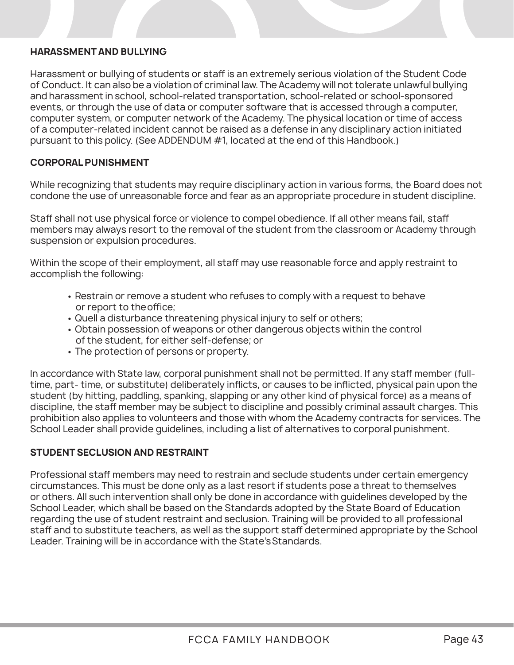### **HARASSMENT AND BULLYING**

Harassment or bullying of students or staff is an extremely serious violation of the Student Code of Conduct. It can also be a violation of criminal law. The Academy will not tolerate unlawful bullying and harassment in school, school-related transportation, school-related or school-sponsored events, or through the use of data or computer software that is accessed through a computer, computer system, or computer network of the Academy. The physical location or time of access of a computer-related incident cannot be raised as a defense in any disciplinary action initiated pursuant to this policy. (See ADDENDUM #1, located at the end of this Handbook.)

### **CORPORAL PUNISHMENT**

While recognizing that students may require disciplinary action in various forms, the Board does not condone the use of unreasonable force and fear as an appropriate procedure in student discipline.

Staff shall not use physical force or violence to compel obedience. If all other means fail, staff members may always resort to the removal of the student from the classroom or Academy through suspension or expulsion procedures.

Within the scope of their employment, all staff may use reasonable force and apply restraint to accomplish the following:

- Restrain or remove a student who refuses to comply with a request to behave or report to the office;
- Quell a disturbance threatening physical injury to self or others;
- Obtain possession of weapons or other dangerous objects within the control of the student, for either self-defense; or
- The protection of persons or property.

In accordance with State law, corporal punishment shall not be permitted. If any staff member (fulltime, part- time, or substitute) deliberately inflicts, or causes to be inflicted, physical pain upon the student (by hitting, paddling, spanking, slapping or any other kind of physical force) as a means of discipline, the staff member may be subject to discipline and possibly criminal assault charges. This prohibition also applies to volunteers and those with whom the Academy contracts for services. The School Leader shall provide guidelines, including a list of alternatives to corporal punishment.

### **STUDENT SECLUSION AND RESTRAINT**

Professional staff members may need to restrain and seclude students under certain emergency circumstances. This must be done only as a last resort if students pose a threat to themselves or others. All such intervention shall only be done in accordance with guidelines developed by the School Leader, which shall be based on the Standards adopted by the State Board of Education regarding the use of student restraint and seclusion. Training will be provided to all professional staff and to substitute teachers, as well as the support staff determined appropriate by the School Leader. Training will be in accordance with the State's Standards.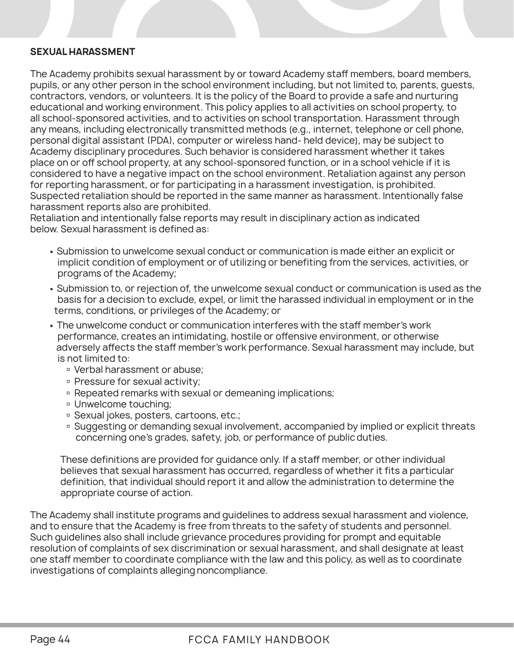### **SEXUAL HARASSMENT**

The Academy prohibits sexual harassment by or toward Academy staff members, board members, pupils, or any other person in the school environment including, but not limited to, parents, guests, contractors, vendors, or volunteers. It is the policy of the Board to provide a safe and nurturing educational and working environment. This policy applies to all activities on school property, to all school-sponsored activities, and to activities on school transportation. Harassment through any means, including electronically transmitted methods (e.g., internet, telephone or cell phone, personal digital assistant (PDA), computer or wireless hand- held device), may be subject to Academy disciplinary procedures. Such behavior is considered harassment whether it takes place on or off school property, at any school-sponsored function, or in a school vehicle if it is considered to have a negative impact on the school environment. Retaliation against any person for reporting harassment, or for participating in a harassment investigation, is prohibited. Suspected retaliation should be reported in the same manner as harassment. Intentionally false harassment reports also are prohibited.

Retaliation and intentionally false reports may result in disciplinary action as indicated below. Sexual harassment is defined as:

- Submission to unwelcome sexual conduct or communication is made either an explicit or implicit condition of employment or of utilizing or benefiting from the services, activities, or programs of the Academy;
- Submission to, or rejection of, the unwelcome sexual conduct or communication is used as the basis for a decision to exclude, expel, or limit the harassed individual in employment or in the terms, conditions, or privileges of the Academy; or
- The unwelcome conduct or communication interferes with the staff member's work performance, creates an intimidating, hostile or offensive environment, or otherwise adversely affects the staff member's work performance. Sexual harassment may include, but is not limited to:
	- Verbal harassment or abuse;
	- □ Pressure for sexual activity;
	- □ Repeated remarks with sexual or demeaning implications;
	- Unwelcome touching;
	- Sexual jokes, posters, cartoons, etc.;
	- **Example Suggesting or demanding sexual involvement, accompanied by implied or explicit threats** concerning one's grades, safety, job, or performance of public duties.

These definitions are provided for guidance only. If a staff member, or other individual believes that sexual harassment has occurred, regardless of whether it fits a particular definition, that individual should report it and allow the administration to determine the appropriate course of action.

The Academy shall institute programs and guidelines to address sexual harassment and violence, and to ensure that the Academy is free from threats to the safety of students and personnel. Such guidelines also shall include grievance procedures providing for prompt and equitable resolution of complaints of sex discrimination or sexual harassment, and shall designate at least one staff member to coordinate compliance with the law and this policy, as well as to coordinate investigations of complaints alleging noncompliance.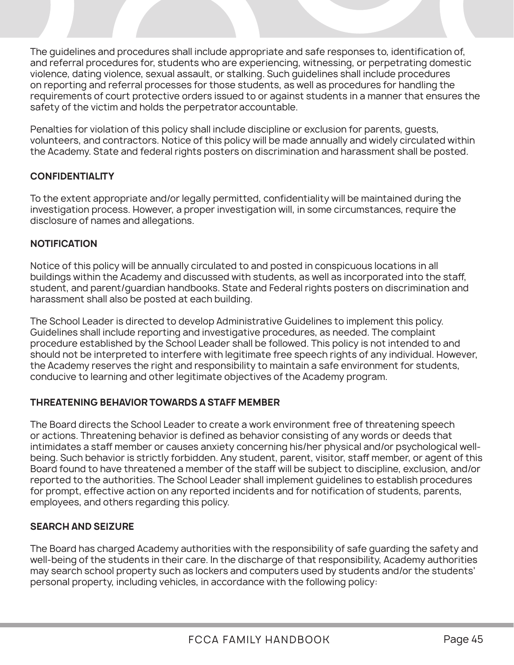The guidelines and procedures shall include appropriate and safe responses to, identification of, and referral procedures for, students who are experiencing, witnessing, or perpetrating domestic violence, dating violence, sexual assault, or stalking. Such guidelines shall include procedures on reporting and referral processes for those students, as well as procedures for handling the requirements of court protective orders issued to or against students in a manner that ensures the safety of the victim and holds the perpetrator accountable.

Penalties for violation of this policy shall include discipline or exclusion for parents, guests, volunteers, and contractors. Notice of this policy will be made annually and widely circulated within the Academy. State and federal rights posters on discrimination and harassment shall be posted.

### **CONFIDENTIALITY**

To the extent appropriate and/or legally permitted, confidentiality will be maintained during the investigation process. However, a proper investigation will, in some circumstances, require the disclosure of names and allegations.

### **NOTIFICATION**

Notice of this policy will be annually circulated to and posted in conspicuous locations in all buildings within the Academy and discussed with students, as well as incorporated into the staff, student, and parent/guardian handbooks. State and Federal rights posters on discrimination and harassment shall also be posted at each building.

The School Leader is directed to develop Administrative Guidelines to implement this policy. Guidelines shall include reporting and investigative procedures, as needed. The complaint procedure established by the School Leader shall be followed. This policy is not intended to and should not be interpreted to interfere with legitimate free speech rights of any individual. However, the Academy reserves the right and responsibility to maintain a safe environment for students, conducive to learning and other legitimate objectives of the Academy program.

### **THREATENING BEHAVIOR TOWARDS A STAFF MEMBER**

The Board directs the School Leader to create a work environment free of threatening speech or actions. Threatening behavior is defined as behavior consisting of any words or deeds that intimidates a staff member or causes anxiety concerning his/her physical and/or psychological wellbeing. Such behavior is strictly forbidden. Any student, parent, visitor, staff member, or agent of this Board found to have threatened a member of the staff will be subject to discipline, exclusion, and/or reported to the authorities. The School Leader shall implement guidelines to establish procedures for prompt, effective action on any reported incidents and for notification of students, parents, employees, and others regarding this policy.

### **SEARCH AND SEIZURE**

The Board has charged Academy authorities with the responsibility of safe guarding the safety and well-being of the students in their care. In the discharge of that responsibility, Academy authorities may search school property such as lockers and computers used by students and/or the students' personal property, including vehicles, in accordance with the following policy: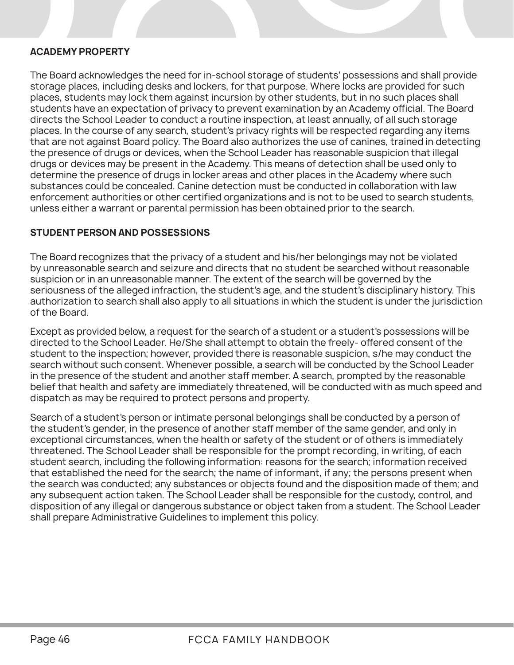### **ACADEMY PROPERTY**

The Board acknowledges the need for in-school storage of students' possessions and shall provide storage places, including desks and lockers, for that purpose. Where locks are provided for such places, students may lock them against incursion by other students, but in no such places shall students have an expectation of privacy to prevent examination by an Academy official. The Board directs the School Leader to conduct a routine inspection, at least annually, of all such storage places. In the course of any search, student's privacy rights will be respected regarding any items that are not against Board policy. The Board also authorizes the use of canines, trained in detecting the presence of drugs or devices, when the School Leader has reasonable suspicion that illegal drugs or devices may be present in the Academy. This means of detection shall be used only to determine the presence of drugs in locker areas and other places in the Academy where such substances could be concealed. Canine detection must be conducted in collaboration with law enforcement authorities or other certified organizations and is not to be used to search students, unless either a warrant or parental permission has been obtained prior to the search.

### **STUDENT PERSON AND POSSESSIONS**

The Board recognizes that the privacy of a student and his/her belongings may not be violated by unreasonable search and seizure and directs that no student be searched without reasonable suspicion or in an unreasonable manner. The extent of the search will be governed by the seriousness of the alleged infraction, the student's age, and the student's disciplinary history. This authorization to search shall also apply to all situations in which the student is under the jurisdiction of the Board.

Except as provided below, a request for the search of a student or a student's possessions will be directed to the School Leader. He/She shall attempt to obtain the freely- offered consent of the student to the inspection; however, provided there is reasonable suspicion, s/he may conduct the search without such consent. Whenever possible, a search will be conducted by the School Leader in the presence of the student and another staff member. A search, prompted by the reasonable belief that health and safety are immediately threatened, will be conducted with as much speed and dispatch as may be required to protect persons and property.

Search of a student's person or intimate personal belongings shall be conducted by a person of the student's gender, in the presence of another staff member of the same gender, and only in exceptional circumstances, when the health or safety of the student or of others is immediately threatened. The School Leader shall be responsible for the prompt recording, in writing, of each student search, including the following information: reasons for the search; information received that established the need for the search; the name of informant, if any; the persons present when the search was conducted; any substances or objects found and the disposition made of them; and any subsequent action taken. The School Leader shall be responsible for the custody, control, and disposition of any illegal or dangerous substance or object taken from a student. The School Leader shall prepare Administrative Guidelines to implement this policy.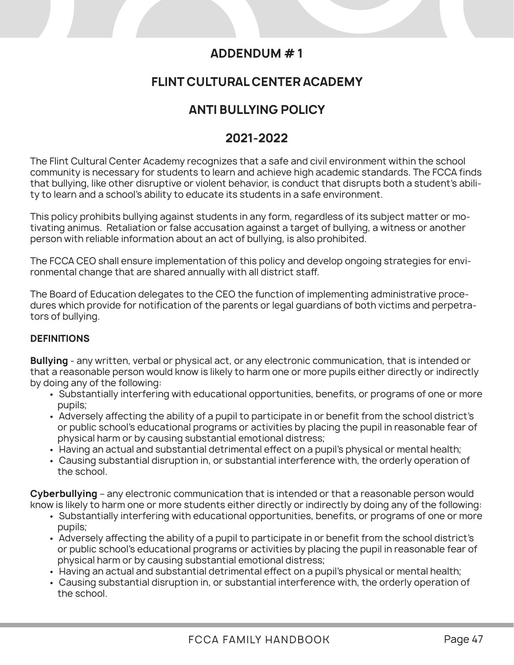### **ADDENDUM # 1**

### **FLINT CULTURAL CENTER ACADEMY**

### **ANTI BULLYING POLICY**

### **2021-2022**

The Flint Cultural Center Academy recognizes that a safe and civil environment within the school community is necessary for students to learn and achieve high academic standards. The FCCA finds that bullying, like other disruptive or violent behavior, is conduct that disrupts both a student's ability to learn and a school's ability to educate its students in a safe environment.

This policy prohibits bullying against students in any form, regardless of its subject matter or motivating animus. Retaliation or false accusation against a target of bullying, a witness or another person with reliable information about an act of bullying, is also prohibited.

The FCCA CEO shall ensure implementation of this policy and develop ongoing strategies for environmental change that are shared annually with all district staff.

The Board of Education delegates to the CEO the function of implementing administrative procedures which provide for notification of the parents or legal guardians of both victims and perpetrators of bullying.

### **DEFINITIONS**

**Bullying** - any written, verbal or physical act, or any electronic communication, that is intended or that a reasonable person would know is likely to harm one or more pupils either directly or indirectly by doing any of the following:

- Substantially interfering with educational opportunities, benefits, or programs of one or more pupils;
- Adversely affecting the ability of a pupil to participate in or benefit from the school district's or public school's educational programs or activities by placing the pupil in reasonable fear of physical harm or by causing substantial emotional distress;
- Having an actual and substantial detrimental effect on a pupil's physical or mental health;
- Causing substantial disruption in, or substantial interference with, the orderly operation of the school.

**Cyberbullying** – any electronic communication that is intended or that a reasonable person would know is likely to harm one or more students either directly or indirectly by doing any of the following:

- Substantially interfering with educational opportunities, benefits, or programs of one or more pupils;
- Adversely affecting the ability of a pupil to participate in or benefit from the school district's or public school's educational programs or activities by placing the pupil in reasonable fear of physical harm or by causing substantial emotional distress;
- Having an actual and substantial detrimental effect on a pupil's physical or mental health;
- Causing substantial disruption in, or substantial interference with, the orderly operation of the school.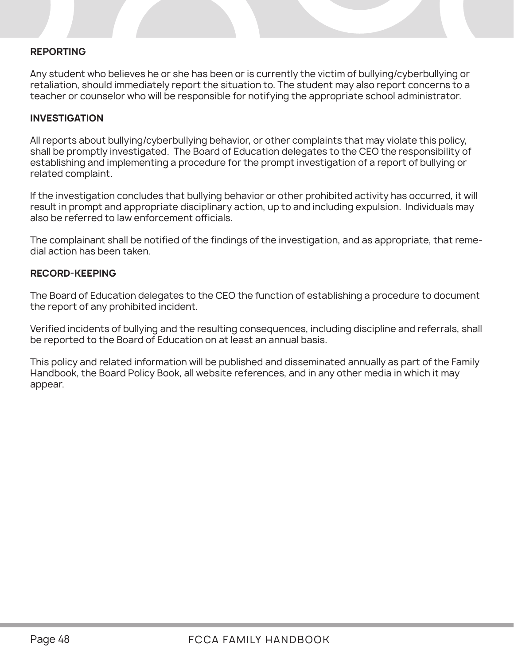### **REPORTING**

Any student who believes he or she has been or is currently the victim of bullying/cyberbullying or retaliation, should immediately report the situation to. The student may also report concerns to a teacher or counselor who will be responsible for notifying the appropriate school administrator.

#### **INVESTIGATION**

All reports about bullying/cyberbullying behavior, or other complaints that may violate this policy, shall be promptly investigated. The Board of Education delegates to the CEO the responsibility of establishing and implementing a procedure for the prompt investigation of a report of bullying or related complaint.

If the investigation concludes that bullying behavior or other prohibited activity has occurred, it will result in prompt and appropriate disciplinary action, up to and including expulsion. Individuals may also be referred to law enforcement officials.

The complainant shall be notified of the findings of the investigation, and as appropriate, that remedial action has been taken.

#### **RECORD-KEEPING**

The Board of Education delegates to the CEO the function of establishing a procedure to document the report of any prohibited incident.

Verified incidents of bullying and the resulting consequences, including discipline and referrals, shall be reported to the Board of Education on at least an annual basis.

This policy and related information will be published and disseminated annually as part of the Family Handbook, the Board Policy Book, all website references, and in any other media in which it may appear.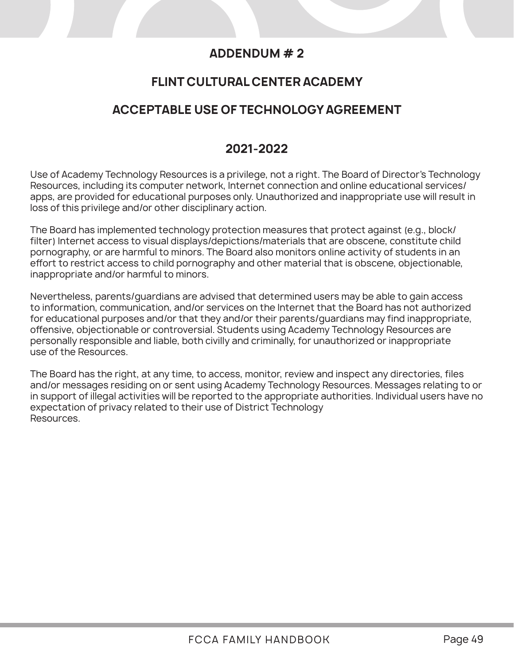### **ADDENDUM # 2**

### **FLINT CULTURAL CENTER ACADEMY**

### **ACCEPTABLE USE OF TECHNOLOGY AGREEMENT**

### **2021-2022**

Use of Academy Technology Resources is a privilege, not a right. The Board of Director's Technology Resources, including its computer network, Internet connection and online educational services/ apps, are provided for educational purposes only. Unauthorized and inappropriate use will result in loss of this privilege and/or other disciplinary action.

The Board has implemented technology protection measures that protect against (e.g., block/ filter) Internet access to visual displays/depictions/materials that are obscene, constitute child pornography, or are harmful to minors. The Board also monitors online activity of students in an effort to restrict access to child pornography and other material that is obscene, objectionable, inappropriate and/or harmful to minors.

Nevertheless, parents/guardians are advised that determined users may be able to gain access to information, communication, and/or services on the Internet that the Board has not authorized for educational purposes and/or that they and/or their parents/guardians may find inappropriate, offensive, objectionable or controversial. Students using Academy Technology Resources are personally responsible and liable, both civilly and criminally, for unauthorized or inappropriate use of the Resources.

The Board has the right, at any time, to access, monitor, review and inspect any directories, files and/or messages residing on or sent using Academy Technology Resources. Messages relating to or in support of illegal activities will be reported to the appropriate authorities. Individual users have no expectation of privacy related to their use of District Technology Resources.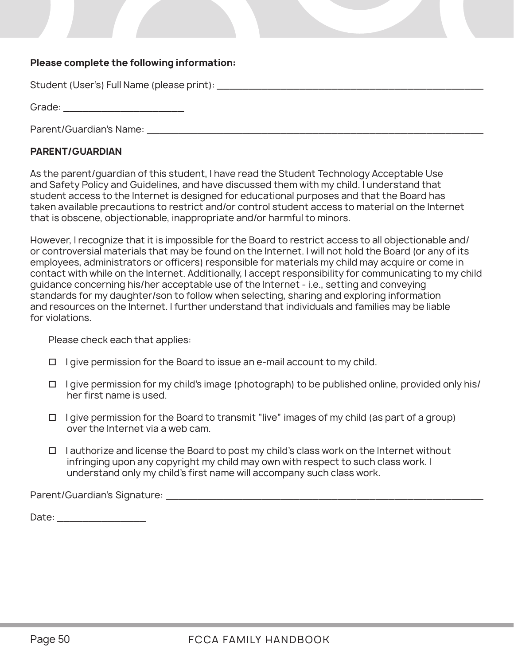### **Please complete the following information:**

Student (User's) Full Name (please print): \_\_\_\_\_\_\_\_\_\_\_\_\_\_\_\_\_\_\_\_\_\_\_\_\_\_\_\_\_\_\_\_\_\_\_\_\_\_\_\_\_\_

Grade: \_\_\_\_\_\_\_\_\_\_\_\_\_\_\_\_\_\_\_

Parent/Guardian's Name: \_\_\_\_\_\_\_\_\_\_\_\_\_\_\_\_\_\_\_\_\_\_\_\_\_\_\_\_\_\_\_\_\_\_\_\_\_\_\_\_\_\_\_\_\_\_\_\_\_\_\_\_\_

### **PARENT/GUARDIAN**

As the parent/guardian of this student, I have read the Student Technology Acceptable Use and Safety Policy and Guidelines, and have discussed them with my child. I understand that student access to the Internet is designed for educational purposes and that the Board has taken available precautions to restrict and/or control student access to material on the Internet that is obscene, objectionable, inappropriate and/or harmful to minors.

However, I recognize that it is impossible for the Board to restrict access to all objectionable and/ or controversial materials that may be found on the Internet. I will not hold the Board (or any of its employees, administrators or officers) responsible for materials my child may acquire or come in contact with while on the Internet. Additionally, I accept responsibility for communicating to my child guidance concerning his/her acceptable use of the Internet - i.e., setting and conveying standards for my daughter/son to follow when selecting, sharing and exploring information and resources on the Internet. I further understand that individuals and families may be liable for violations.

Please check each that applies:

- $\Box$  I give permission for the Board to issue an e-mail account to my child.
- $\Box$  I give permission for my child's image (photograph) to be published online, provided only his/ her first name is used.
- $\Box$  I give permission for the Board to transmit "live" images of my child (as part of a group) over the Internet via a web cam.
- $\Box$  I authorize and license the Board to post my child's class work on the Internet without infringing upon any copyright my child may own with respect to such class work. I understand only my child's first name will accompany such class work.

Parent/Guardian's Signature: \_\_\_\_\_\_\_\_\_\_\_\_\_\_\_\_\_\_\_\_\_\_\_\_\_\_\_\_\_\_\_\_\_\_\_\_\_\_\_\_\_\_\_\_\_\_\_\_\_\_

Date:  $\Box$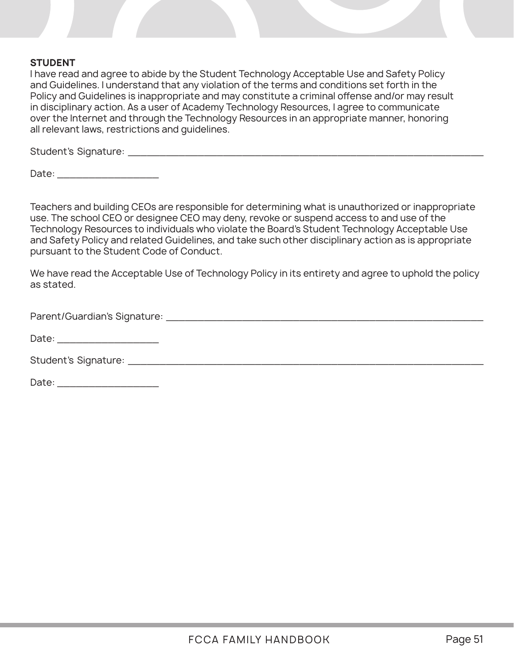### **STUDENT**

I have read and agree to abide by the Student Technology Acceptable Use and Safety Policy and Guidelines. I understand that any violation of the terms and conditions set forth in the Policy and Guidelines is inappropriate and may constitute a criminal offense and/or may result in disciplinary action. As a user of Academy Technology Resources, I agree to communicate over the Internet and through the Technology Resources in an appropriate manner, honoring all relevant laws, restrictions and guidelines.

Student's Signature: \_\_\_\_\_\_\_\_\_\_\_\_\_\_\_\_\_\_\_\_\_\_\_\_\_\_\_\_\_\_\_\_\_\_\_\_\_\_\_\_\_\_\_\_\_\_\_\_\_\_\_\_\_\_\_\_

Date:  $\Box$ 

Teachers and building CEOs are responsible for determining what is unauthorized or inappropriate use. The school CEO or designee CEO may deny, revoke or suspend access to and use of the Technology Resources to individuals who violate the Board's Student Technology Acceptable Use and Safety Policy and related Guidelines, and take such other disciplinary action as is appropriate pursuant to the Student Code of Conduct.

We have read the Acceptable Use of Technology Policy in its entirety and agree to uphold the policy as stated.

Parent/Guardian's Signature: \_\_\_\_\_\_\_\_\_\_\_\_\_\_\_\_\_\_\_\_\_\_\_\_\_\_\_\_\_\_\_\_\_\_\_\_\_\_\_\_\_\_\_\_\_\_\_\_\_\_

Date: \_\_\_\_\_\_\_\_\_\_\_\_\_\_\_\_

Student's Signature: **Example 2018** 

Date: \_\_\_\_\_\_\_\_\_\_\_\_\_\_\_\_